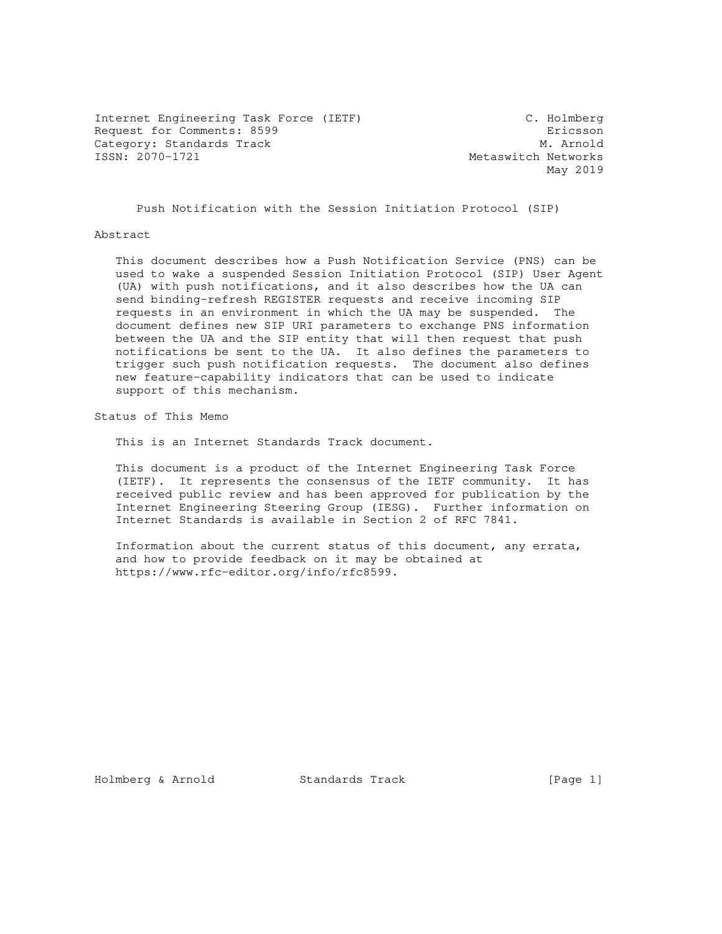Internet Engineering Task Force (IETF) C. Holmberg Request for Comments: 8599 **Exercise Exercise Exercise Exercise Exercise Exercise Exercise Exercise Exercise Exercise Exercise Exercise Exercise Exercise Exercise Exercise Exercise Exercise Exercise Exercise Exercise Exerc** Category: Standards Track<br>
ISSN: 2070-1721<br>
Metaswitch Networks

Metaswitch Networks May 2019

Push Notification with the Session Initiation Protocol (SIP)

Abstract

 This document describes how a Push Notification Service (PNS) can be used to wake a suspended Session Initiation Protocol (SIP) User Agent (UA) with push notifications, and it also describes how the UA can send binding-refresh REGISTER requests and receive incoming SIP requests in an environment in which the UA may be suspended. The document defines new SIP URI parameters to exchange PNS information between the UA and the SIP entity that will then request that push notifications be sent to the UA. It also defines the parameters to trigger such push notification requests. The document also defines new feature-capability indicators that can be used to indicate support of this mechanism.

Status of This Memo

This is an Internet Standards Track document.

 This document is a product of the Internet Engineering Task Force (IETF). It represents the consensus of the IETF community. It has received public review and has been approved for publication by the Internet Engineering Steering Group (IESG). Further information on Internet Standards is available in Section 2 of RFC 7841.

 Information about the current status of this document, any errata, and how to provide feedback on it may be obtained at https://www.rfc-editor.org/info/rfc8599.

Holmberg & Arnold Standards Track [Page 1]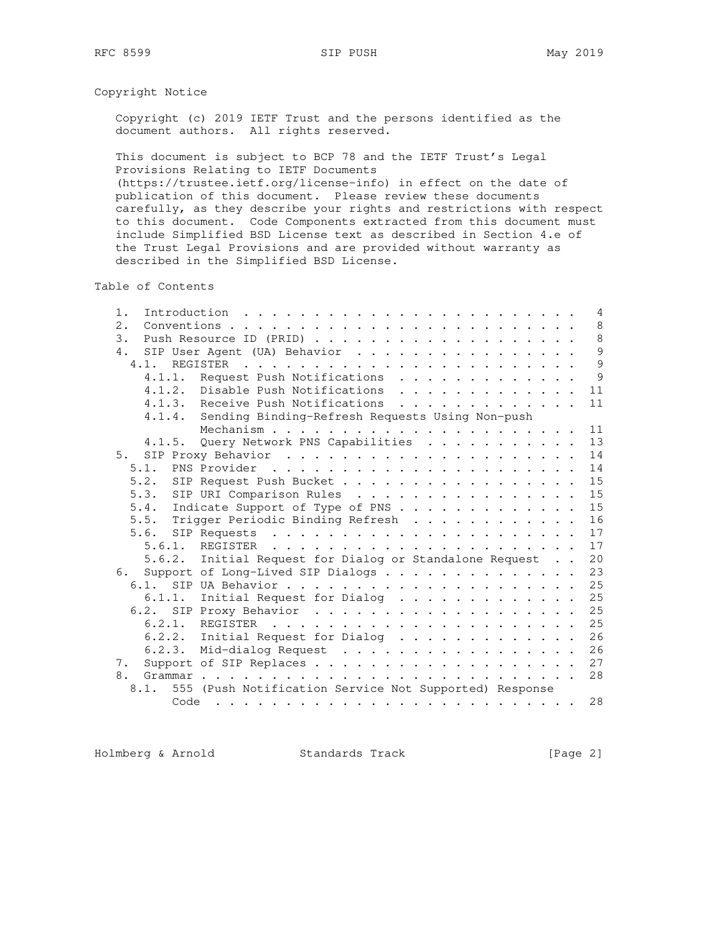# Copyright Notice

 Copyright (c) 2019 IETF Trust and the persons identified as the document authors. All rights reserved.

 This document is subject to BCP 78 and the IETF Trust's Legal Provisions Relating to IETF Documents (https://trustee.ietf.org/license-info) in effect on the date of publication of this document. Please review these documents carefully, as they describe your rights and restrictions with respect to this document. Code Components extracted from this document must include Simplified BSD License text as described in Section 4.e of the Trust Legal Provisions and are provided without warranty as

described in the Simplified BSD License.

Table of Contents

| $1$ . |      |      | Introduction $\ldots \ldots \ldots \ldots \ldots \ldots \ldots \ldots$ |  |  | $\overline{4}$ |
|-------|------|------|------------------------------------------------------------------------|--|--|----------------|
| 2.    |      |      |                                                                        |  |  | 8              |
| 3.    |      |      |                                                                        |  |  | 8              |
| 4.    |      |      | SIP User Agent (UA) Behavior                                           |  |  | 9              |
|       | 4.1. |      |                                                                        |  |  | 9              |
|       |      |      | 4.1.1. Request Push Notifications                                      |  |  | 9              |
|       |      |      | 4.1.2. Disable Push Notifications                                      |  |  | 11             |
|       |      |      | 4.1.3. Receive Push Notifications<br>.                                 |  |  | 11             |
|       |      |      | 4.1.4. Sending Binding-Refresh Requests Using Non-push                 |  |  |                |
|       |      |      |                                                                        |  |  | 11             |
|       |      |      | 4.1.5. Query Network PNS Capabilities                                  |  |  | 13             |
|       | 5.   |      |                                                                        |  |  | 14             |
|       | 5.1. |      |                                                                        |  |  | 14             |
|       | 5.2. |      | SIP Request Push Bucket                                                |  |  | 15             |
|       | 5.3. |      | SIP URI Comparison Rules                                               |  |  | 15             |
|       |      |      | 5.4. Indicate Support of Type of PNS                                   |  |  | 15             |
|       |      |      | 5.5. Trigger Periodic Binding Refresh                                  |  |  | 16             |
|       | 5.6. |      |                                                                        |  |  | 17             |
|       |      |      | 5.6.1. REGISTER                                                        |  |  | 17             |
|       |      |      | 5.6.2. Initial Request for Dialog or Standalone Request                |  |  | 20             |
|       | 6.   |      | Support of Long-Lived SIP Dialogs                                      |  |  | 23             |
|       | 6.1. |      |                                                                        |  |  | 25             |
|       |      |      | 6.1.1. Initial Request for Dialog                                      |  |  | 25             |
|       |      |      |                                                                        |  |  | 25             |
|       |      |      |                                                                        |  |  | 25             |
|       |      |      | 6.2.2. Initial Request for Dialog $\cdots$                             |  |  | 26             |
|       |      |      | 6.2.3. Mid-dialog Request                                              |  |  | 26             |
| 7.    |      |      |                                                                        |  |  | 27             |
| 8.    |      |      |                                                                        |  |  | 28             |
|       | 8.1. |      | 555 (Push Notification Service Not Supported) Response                 |  |  |                |
|       |      |      |                                                                        |  |  |                |
|       |      | Code |                                                                        |  |  | 28             |

Holmberg & Arnold Standards Track [Page 2]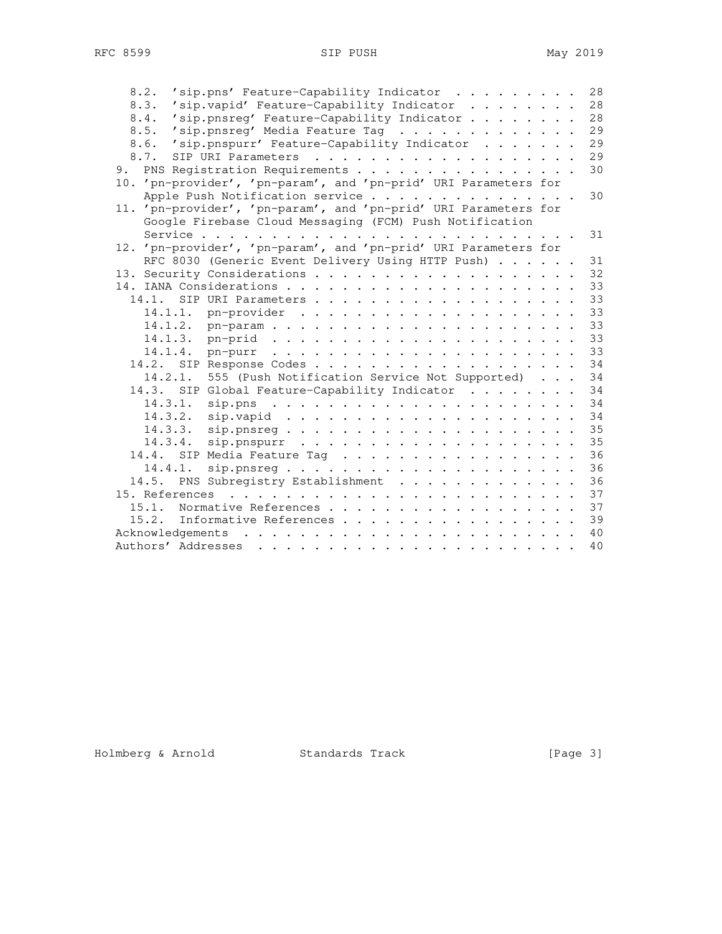| 'sip.pns' Feature-Capability Indicator<br>8.2.                            | 28 |
|---------------------------------------------------------------------------|----|
| 8.3.<br>'sip.vapid' Feature-Capability Indicator                          | 28 |
| 'sip.pnsreg' Feature-Capability Indicator<br>8.4.                         | 28 |
| 'sip.pnsreg' Media Feature Tag<br>8.5.                                    | 29 |
| 8.6.<br>'sip.pnspurr' Feature-Capability Indicator                        | 29 |
| 8.7.                                                                      | 29 |
| PNS Registration Requirements<br>9.                                       | 30 |
| 10. 'pn-provider', 'pn-param', and 'pn-prid' URI Parameters for           |    |
| Apple Push Notification service                                           | 30 |
| 11. 'pn-provider', 'pn-param', and 'pn-prid' URI Parameters for           |    |
| Google Firebase Cloud Messaging (FCM) Push Notification                   |    |
|                                                                           | 31 |
| 12. 'pn-provider', 'pn-param', and 'pn-prid' URI Parameters for           |    |
| RFC 8030 (Generic Event Delivery Using HTTP Push)                         | 31 |
|                                                                           | 32 |
|                                                                           | 33 |
|                                                                           | 33 |
| 14.1.1.                                                                   | 33 |
|                                                                           | 33 |
|                                                                           | 33 |
|                                                                           | 33 |
|                                                                           | 34 |
| 555 (Push Notification Service Not Supported)<br>14.2.1.                  | 34 |
| 14.3. SIP Global Feature-Capability Indicator                             | 34 |
| 14.3.1.                                                                   | 34 |
| 14.3.2.                                                                   | 34 |
| 14.3.3.<br>$sip.parseq \ldots \ldots \ldots \ldots \ldots$                | 35 |
| 14.3.4.<br>$sip.pnspur \ldots \ldots \ldots \ldots \ldots \ldots$         | 35 |
| 14.4. SIP Media Feature Tag                                               | 36 |
| 14.4.1.<br>$\texttt{sip.pnsreq.}\dots\dots\dots\dots\dots\dots\dots\dots$ | 36 |
| 14.5. PNS Subregistry Establishment                                       | 36 |
| 15. References                                                            | 37 |
| Normative References<br>15.1.                                             | 37 |
| 15.2. Informative References                                              | 39 |
|                                                                           | 40 |
| Authors' Addresses                                                        | 40 |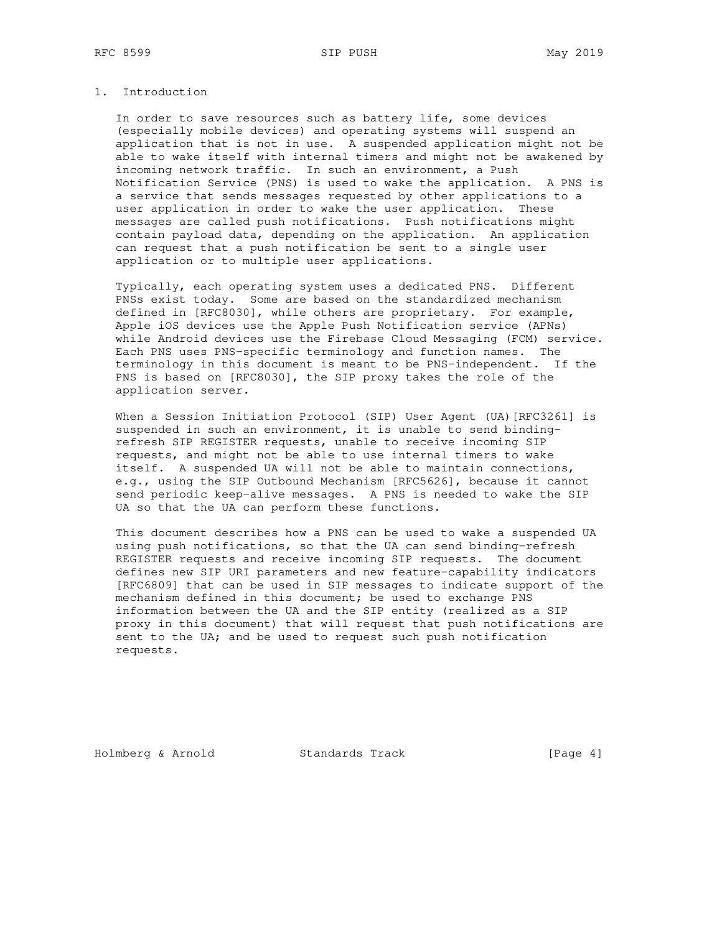## 1. Introduction

 In order to save resources such as battery life, some devices (especially mobile devices) and operating systems will suspend an application that is not in use. A suspended application might not be able to wake itself with internal timers and might not be awakened by incoming network traffic. In such an environment, a Push Notification Service (PNS) is used to wake the application. A PNS is a service that sends messages requested by other applications to a user application in order to wake the user application. These messages are called push notifications. Push notifications might contain payload data, depending on the application. An application can request that a push notification be sent to a single user application or to multiple user applications.

 Typically, each operating system uses a dedicated PNS. Different PNSs exist today. Some are based on the standardized mechanism defined in [RFC8030], while others are proprietary. For example, Apple iOS devices use the Apple Push Notification service (APNs) while Android devices use the Firebase Cloud Messaging (FCM) service. Each PNS uses PNS-specific terminology and function names. The terminology in this document is meant to be PNS-independent. If the PNS is based on [RFC8030], the SIP proxy takes the role of the application server.

When a Session Initiation Protocol (SIP) User Agent (UA) [RFC3261] is suspended in such an environment, it is unable to send binding refresh SIP REGISTER requests, unable to receive incoming SIP requests, and might not be able to use internal timers to wake itself. A suspended UA will not be able to maintain connections, e.g., using the SIP Outbound Mechanism [RFC5626], because it cannot send periodic keep-alive messages. A PNS is needed to wake the SIP UA so that the UA can perform these functions.

 This document describes how a PNS can be used to wake a suspended UA using push notifications, so that the UA can send binding-refresh REGISTER requests and receive incoming SIP requests. The document defines new SIP URI parameters and new feature-capability indicators [RFC6809] that can be used in SIP messages to indicate support of the mechanism defined in this document; be used to exchange PNS information between the UA and the SIP entity (realized as a SIP proxy in this document) that will request that push notifications are sent to the UA; and be used to request such push notification requests.

Holmberg & Arnold Standards Track [Page 4]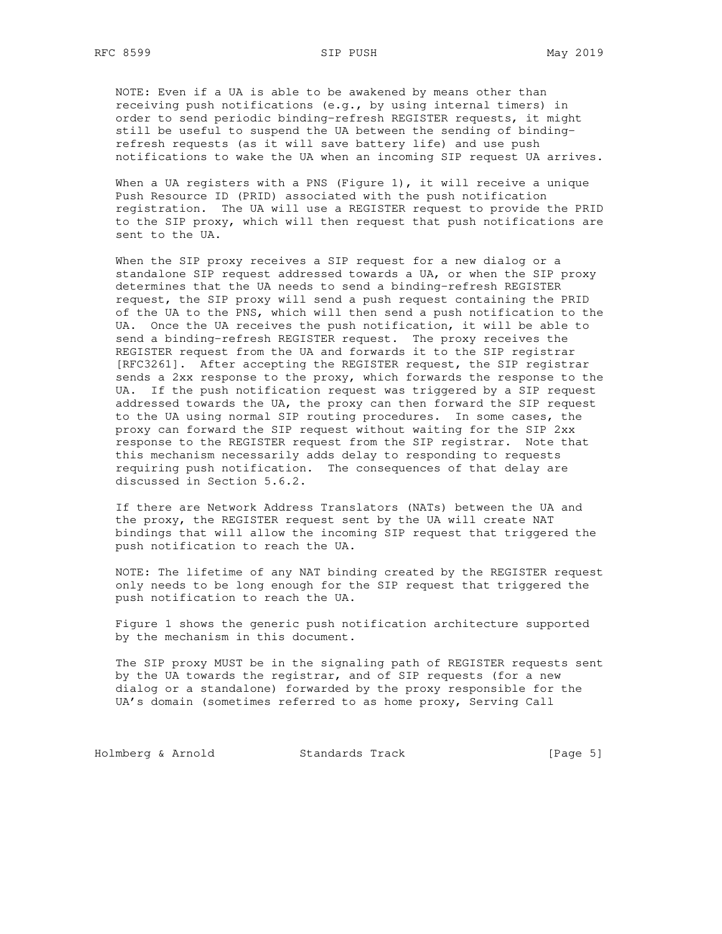NOTE: Even if a UA is able to be awakened by means other than receiving push notifications (e.g., by using internal timers) in order to send periodic binding-refresh REGISTER requests, it might still be useful to suspend the UA between the sending of binding refresh requests (as it will save battery life) and use push notifications to wake the UA when an incoming SIP request UA arrives.

When a UA registers with a PNS (Figure 1), it will receive a unique Push Resource ID (PRID) associated with the push notification registration. The UA will use a REGISTER request to provide the PRID to the SIP proxy, which will then request that push notifications are sent to the UA.

 When the SIP proxy receives a SIP request for a new dialog or a standalone SIP request addressed towards a UA, or when the SIP proxy determines that the UA needs to send a binding-refresh REGISTER request, the SIP proxy will send a push request containing the PRID of the UA to the PNS, which will then send a push notification to the UA. Once the UA receives the push notification, it will be able to send a binding-refresh REGISTER request. The proxy receives the REGISTER request from the UA and forwards it to the SIP registrar [RFC3261]. After accepting the REGISTER request, the SIP registrar sends a 2xx response to the proxy, which forwards the response to the UA. If the push notification request was triggered by a SIP request addressed towards the UA, the proxy can then forward the SIP request to the UA using normal SIP routing procedures. In some cases, the proxy can forward the SIP request without waiting for the SIP 2xx response to the REGISTER request from the SIP registrar. Note that this mechanism necessarily adds delay to responding to requests requiring push notification. The consequences of that delay are discussed in Section 5.6.2.

 If there are Network Address Translators (NATs) between the UA and the proxy, the REGISTER request sent by the UA will create NAT bindings that will allow the incoming SIP request that triggered the push notification to reach the UA.

 NOTE: The lifetime of any NAT binding created by the REGISTER request only needs to be long enough for the SIP request that triggered the push notification to reach the UA.

 Figure 1 shows the generic push notification architecture supported by the mechanism in this document.

 The SIP proxy MUST be in the signaling path of REGISTER requests sent by the UA towards the registrar, and of SIP requests (for a new dialog or a standalone) forwarded by the proxy responsible for the UA's domain (sometimes referred to as home proxy, Serving Call

Holmberg & Arnold Standards Track [Page 5]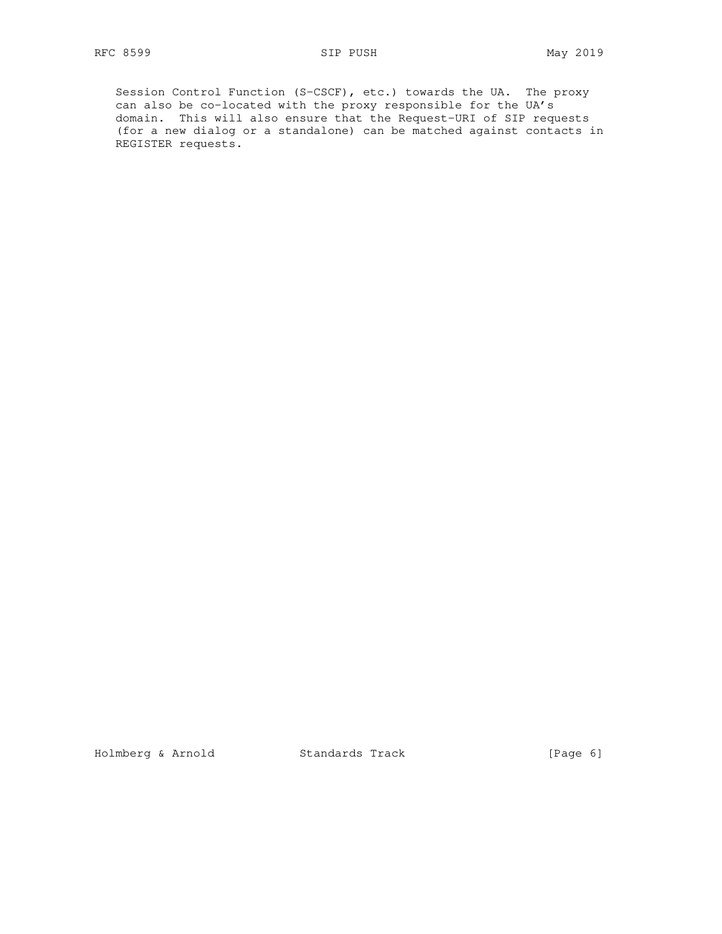Session Control Function (S-CSCF), etc.) towards the UA. The proxy can also be co-located with the proxy responsible for the UA's domain. This will also ensure that the Request-URI of SIP requests (for a new dialog or a standalone) can be matched against contacts in REGISTER requests.

Holmberg & Arnold Standards Track [Page 6]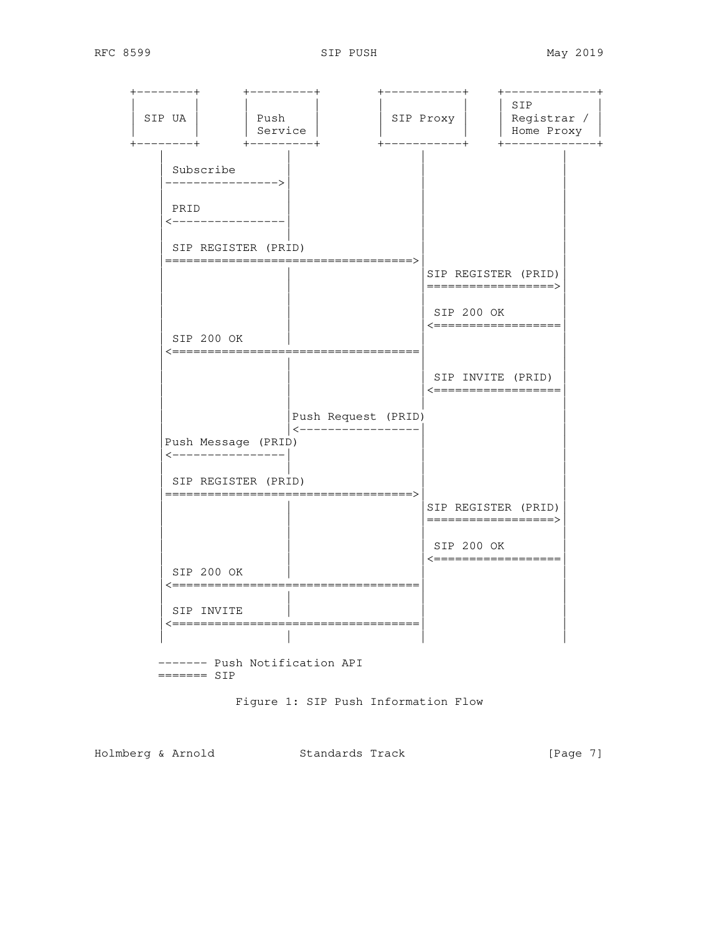| SIP UA                                 | Push<br>Service<br>$+ - - - - - - - +$                     |                     | SIP Proxy  | SIP<br>Registrar /<br>Home Proxy           |
|----------------------------------------|------------------------------------------------------------|---------------------|------------|--------------------------------------------|
| Subscribe                              | -------------->                                            |                     |            |                                            |
| PRID                                   | <----------------                                          |                     |            |                                            |
|                                        | SIP REGISTER (PRID)<br>-=========================          |                     |            |                                            |
|                                        |                                                            |                     |            | SIP REGISTER (PRID)<br>==================> |
|                                        |                                                            |                     | SIP 200 OK | <==================                        |
| SIP 200 OK<br><b>&lt;===========</b> = |                                                            |                     |            |                                            |
|                                        |                                                            |                     |            | SIP INVITE (PRID)<br><==================   |
|                                        |                                                            | Push Request (PRID) |            |                                            |
|                                        | Push Message (PRID)<br><----------------                   | -----------------   |            |                                            |
|                                        | SIP REGISTER (PRID)<br>=================================== |                     |            |                                            |
|                                        |                                                            |                     |            | SIP REGISTER (PRID)<br>==================> |
|                                        |                                                            |                     | SIP 200 OK | <==================                        |
| SIP 200 OK                             | <==========================                                |                     |            |                                            |
| SIP INVITE                             |                                                            |                     |            |                                            |
|                                        | <====================================                      |                     |            |                                            |

Figure 1: SIP Push Information Flow

Holmberg & Arnold Standards Track [Page 7]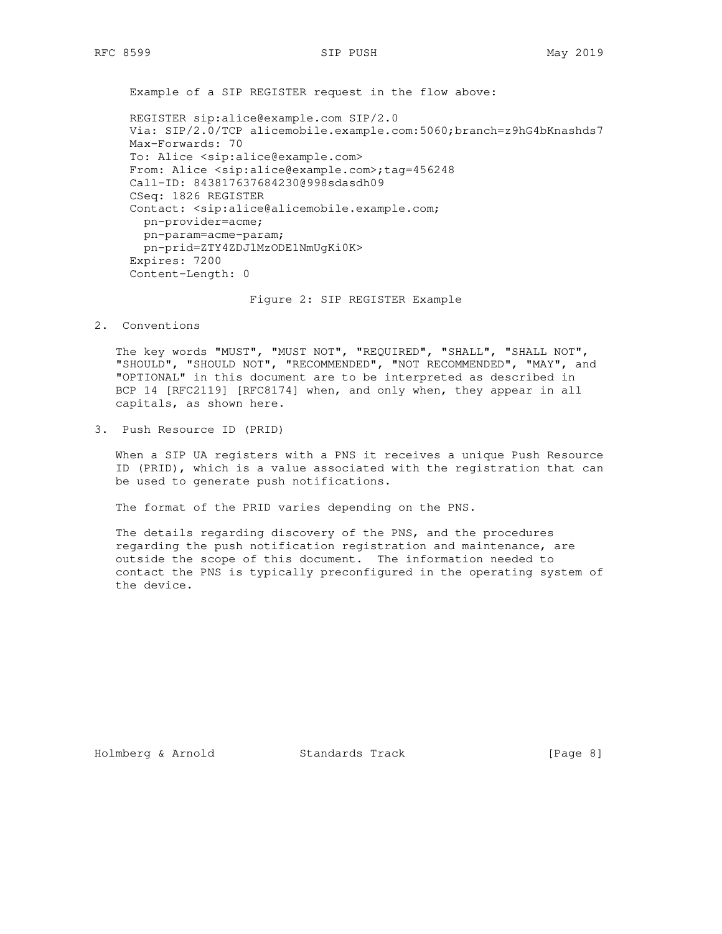Example of a SIP REGISTER request in the flow above:

 REGISTER sip:alice@example.com SIP/2.0 Via: SIP/2.0/TCP alicemobile.example.com:5060;branch=z9hG4bKnashds7 Max-Forwards: 70 To: Alice <sip:alice@example.com> From: Alice <sip:alice@example.com>;tag=456248 Call-ID: 843817637684230@998sdasdh09 CSeq: 1826 REGISTER Contact: <sip:alice@alicemobile.example.com; pn-provider=acme; pn-param=acme-param; pn-prid=ZTY4ZDJlMzODE1NmUgKi0K> Expires: 7200 Content-Length: 0

Figure 2: SIP REGISTER Example

2. Conventions

 The key words "MUST", "MUST NOT", "REQUIRED", "SHALL", "SHALL NOT", "SHOULD", "SHOULD NOT", "RECOMMENDED", "NOT RECOMMENDED", "MAY", and "OPTIONAL" in this document are to be interpreted as described in BCP 14 [RFC2119] [RFC8174] when, and only when, they appear in all capitals, as shown here.

3. Push Resource ID (PRID)

 When a SIP UA registers with a PNS it receives a unique Push Resource ID (PRID), which is a value associated with the registration that can be used to generate push notifications.

The format of the PRID varies depending on the PNS.

 The details regarding discovery of the PNS, and the procedures regarding the push notification registration and maintenance, are outside the scope of this document. The information needed to contact the PNS is typically preconfigured in the operating system of the device.

Holmberg & Arnold Standards Track [Page 8]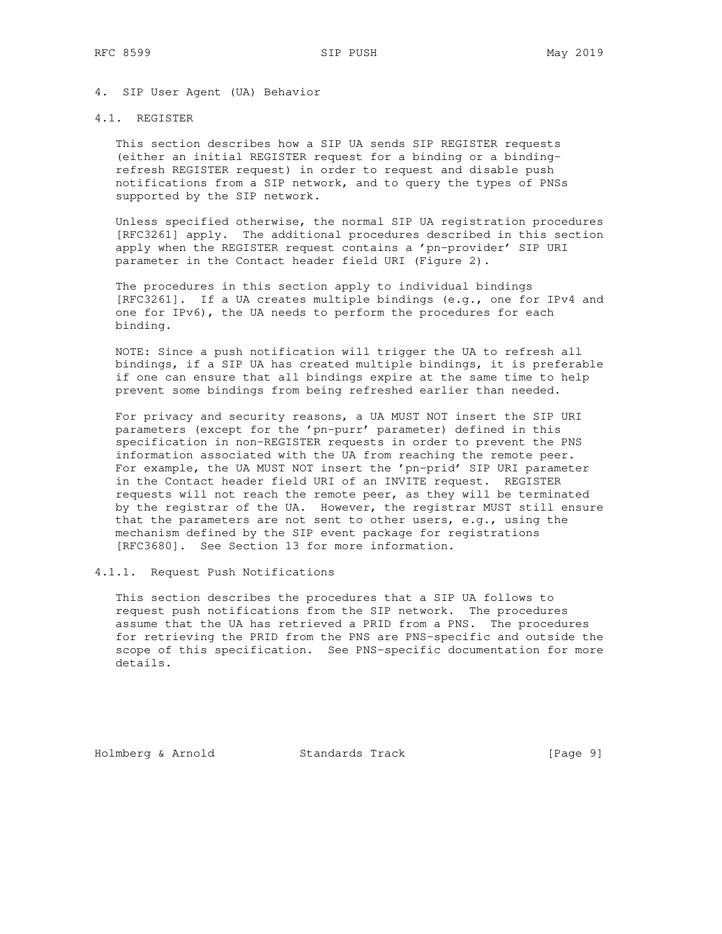## 4. SIP User Agent (UA) Behavior

# 4.1. REGISTER

 This section describes how a SIP UA sends SIP REGISTER requests (either an initial REGISTER request for a binding or a binding refresh REGISTER request) in order to request and disable push notifications from a SIP network, and to query the types of PNSs supported by the SIP network.

 Unless specified otherwise, the normal SIP UA registration procedures [RFC3261] apply. The additional procedures described in this section apply when the REGISTER request contains a 'pn-provider' SIP URI parameter in the Contact header field URI (Figure 2).

 The procedures in this section apply to individual bindings [RFC3261]. If a UA creates multiple bindings (e.g., one for IPv4 and one for IPv6), the UA needs to perform the procedures for each binding.

 NOTE: Since a push notification will trigger the UA to refresh all bindings, if a SIP UA has created multiple bindings, it is preferable if one can ensure that all bindings expire at the same time to help prevent some bindings from being refreshed earlier than needed.

 For privacy and security reasons, a UA MUST NOT insert the SIP URI parameters (except for the 'pn-purr' parameter) defined in this specification in non-REGISTER requests in order to prevent the PNS information associated with the UA from reaching the remote peer. For example, the UA MUST NOT insert the 'pn-prid' SIP URI parameter in the Contact header field URI of an INVITE request. REGISTER requests will not reach the remote peer, as they will be terminated by the registrar of the UA. However, the registrar MUST still ensure that the parameters are not sent to other users, e.g., using the mechanism defined by the SIP event package for registrations [RFC3680]. See Section 13 for more information.

4.1.1. Request Push Notifications

 This section describes the procedures that a SIP UA follows to request push notifications from the SIP network. The procedures assume that the UA has retrieved a PRID from a PNS. The procedures for retrieving the PRID from the PNS are PNS-specific and outside the scope of this specification. See PNS-specific documentation for more details.

Holmberg & Arnold Standards Track [Page 9]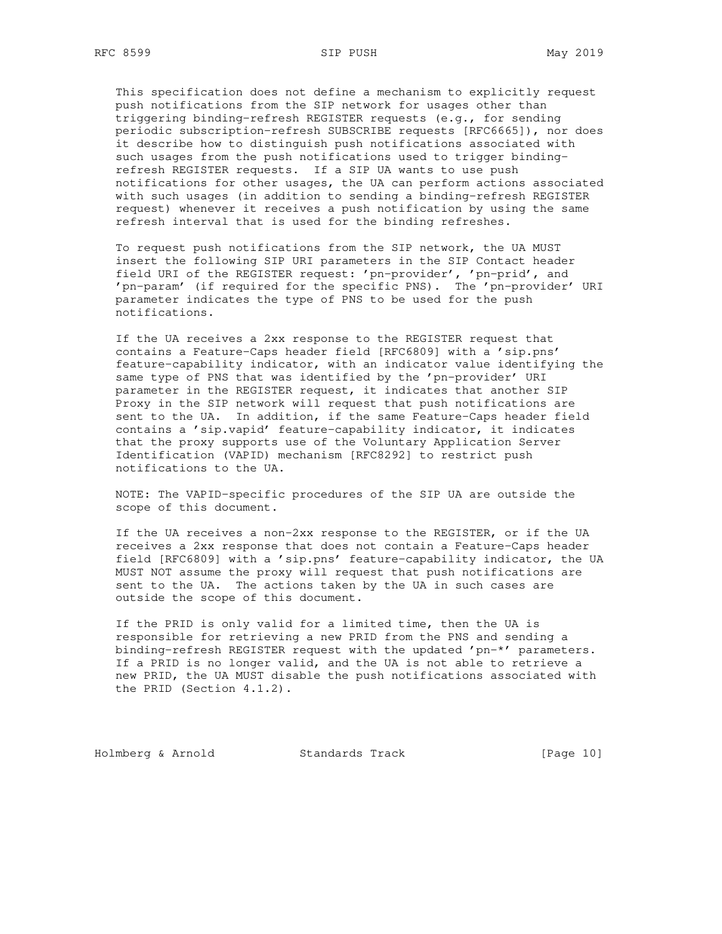This specification does not define a mechanism to explicitly request push notifications from the SIP network for usages other than triggering binding-refresh REGISTER requests (e.g., for sending periodic subscription-refresh SUBSCRIBE requests [RFC6665]), nor does it describe how to distinguish push notifications associated with such usages from the push notifications used to trigger binding refresh REGISTER requests. If a SIP UA wants to use push notifications for other usages, the UA can perform actions associated with such usages (in addition to sending a binding-refresh REGISTER request) whenever it receives a push notification by using the same refresh interval that is used for the binding refreshes.

 To request push notifications from the SIP network, the UA MUST insert the following SIP URI parameters in the SIP Contact header field URI of the REGISTER request: 'pn-provider', 'pn-prid', and 'pn-param' (if required for the specific PNS). The 'pn-provider' URI parameter indicates the type of PNS to be used for the push notifications.

 If the UA receives a 2xx response to the REGISTER request that contains a Feature-Caps header field [RFC6809] with a 'sip.pns' feature-capability indicator, with an indicator value identifying the same type of PNS that was identified by the 'pn-provider' URI parameter in the REGISTER request, it indicates that another SIP Proxy in the SIP network will request that push notifications are sent to the UA. In addition, if the same Feature-Caps header field contains a 'sip.vapid' feature-capability indicator, it indicates that the proxy supports use of the Voluntary Application Server Identification (VAPID) mechanism [RFC8292] to restrict push notifications to the UA.

 NOTE: The VAPID-specific procedures of the SIP UA are outside the scope of this document.

 If the UA receives a non-2xx response to the REGISTER, or if the UA receives a 2xx response that does not contain a Feature-Caps header field [RFC6809] with a 'sip.pns' feature-capability indicator, the UA MUST NOT assume the proxy will request that push notifications are sent to the UA. The actions taken by the UA in such cases are outside the scope of this document.

 If the PRID is only valid for a limited time, then the UA is responsible for retrieving a new PRID from the PNS and sending a binding-refresh REGISTER request with the updated 'pn-\*' parameters. If a PRID is no longer valid, and the UA is not able to retrieve a new PRID, the UA MUST disable the push notifications associated with the PRID (Section 4.1.2).

Holmberg & Arnold Standards Track [Page 10]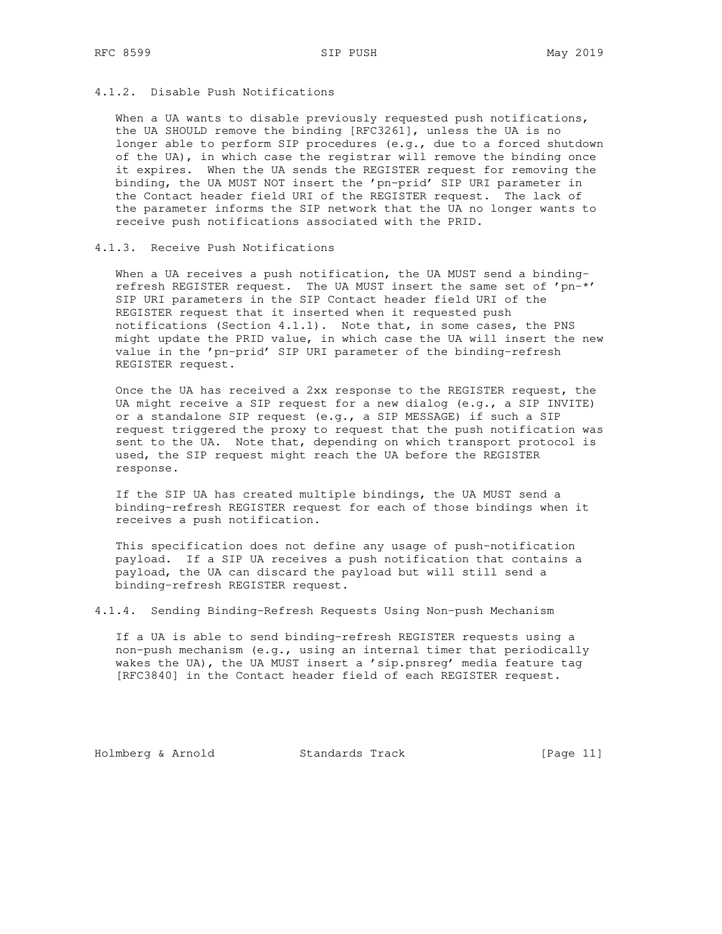## 4.1.2. Disable Push Notifications

When a UA wants to disable previously requested push notifications, the UA SHOULD remove the binding [RFC3261], unless the UA is no longer able to perform SIP procedures (e.g., due to a forced shutdown of the UA), in which case the registrar will remove the binding once it expires. When the UA sends the REGISTER request for removing the binding, the UA MUST NOT insert the 'pn-prid' SIP URI parameter in the Contact header field URI of the REGISTER request. The lack of the parameter informs the SIP network that the UA no longer wants to receive push notifications associated with the PRID.

# 4.1.3. Receive Push Notifications

When a UA receives a push notification, the UA MUST send a binding refresh REGISTER request. The UA MUST insert the same set of 'pn-\*' SIP URI parameters in the SIP Contact header field URI of the REGISTER request that it inserted when it requested push notifications (Section 4.1.1). Note that, in some cases, the PNS might update the PRID value, in which case the UA will insert the new value in the 'pn-prid' SIP URI parameter of the binding-refresh REGISTER request.

 Once the UA has received a 2xx response to the REGISTER request, the UA might receive a SIP request for a new dialog (e.g., a SIP INVITE) or a standalone SIP request (e.g., a SIP MESSAGE) if such a SIP request triggered the proxy to request that the push notification was sent to the UA. Note that, depending on which transport protocol is used, the SIP request might reach the UA before the REGISTER response.

 If the SIP UA has created multiple bindings, the UA MUST send a binding-refresh REGISTER request for each of those bindings when it receives a push notification.

 This specification does not define any usage of push-notification payload. If a SIP UA receives a push notification that contains a payload, the UA can discard the payload but will still send a binding-refresh REGISTER request.

4.1.4. Sending Binding-Refresh Requests Using Non-push Mechanism

 If a UA is able to send binding-refresh REGISTER requests using a non-push mechanism (e.g., using an internal timer that periodically wakes the UA), the UA MUST insert a 'sip.pnsreq' media feature tag [RFC3840] in the Contact header field of each REGISTER request.

Holmberg & Arnold Standards Track [Page 11]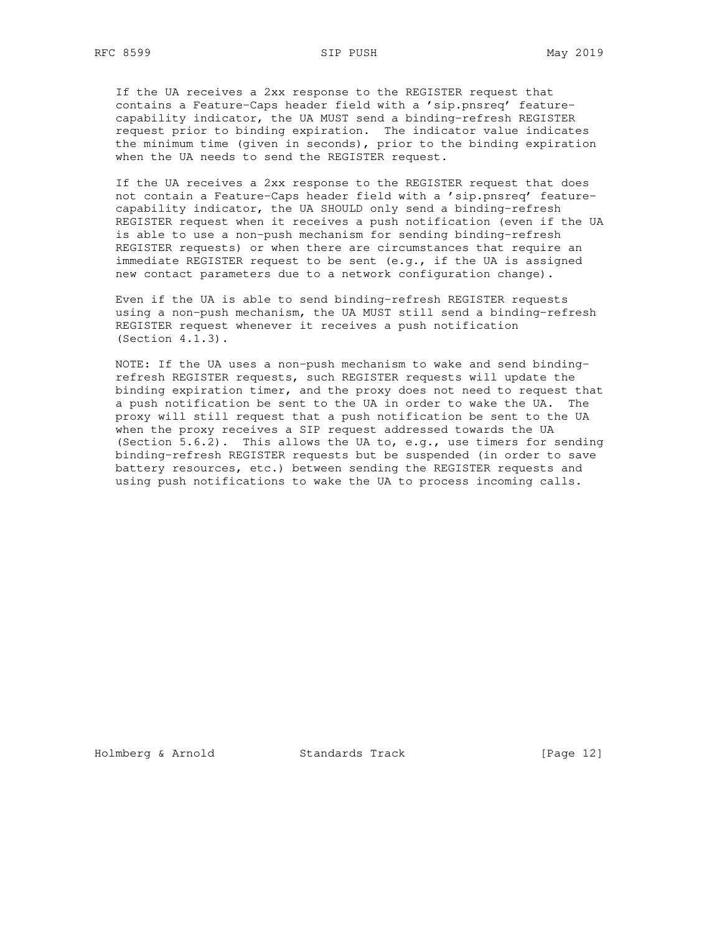RFC 8599 SIP PUSH SIP PUSH May 2019

 If the UA receives a 2xx response to the REGISTER request that contains a Feature-Caps header field with a 'sip.pnsreq' feature capability indicator, the UA MUST send a binding-refresh REGISTER request prior to binding expiration. The indicator value indicates the minimum time (given in seconds), prior to the binding expiration when the UA needs to send the REGISTER request.

 If the UA receives a 2xx response to the REGISTER request that does not contain a Feature-Caps header field with a 'sip.pnsreq' feature capability indicator, the UA SHOULD only send a binding-refresh REGISTER request when it receives a push notification (even if the UA is able to use a non-push mechanism for sending binding-refresh REGISTER requests) or when there are circumstances that require an immediate REGISTER request to be sent (e.g., if the UA is assigned new contact parameters due to a network configuration change).

 Even if the UA is able to send binding-refresh REGISTER requests using a non-push mechanism, the UA MUST still send a binding-refresh REGISTER request whenever it receives a push notification (Section  $4.1.3$ ).

 NOTE: If the UA uses a non-push mechanism to wake and send binding refresh REGISTER requests, such REGISTER requests will update the binding expiration timer, and the proxy does not need to request that a push notification be sent to the UA in order to wake the UA. The proxy will still request that a push notification be sent to the UA when the proxy receives a SIP request addressed towards the UA (Section 5.6.2). This allows the UA to, e.g., use timers for sending binding-refresh REGISTER requests but be suspended (in order to save battery resources, etc.) between sending the REGISTER requests and using push notifications to wake the UA to process incoming calls.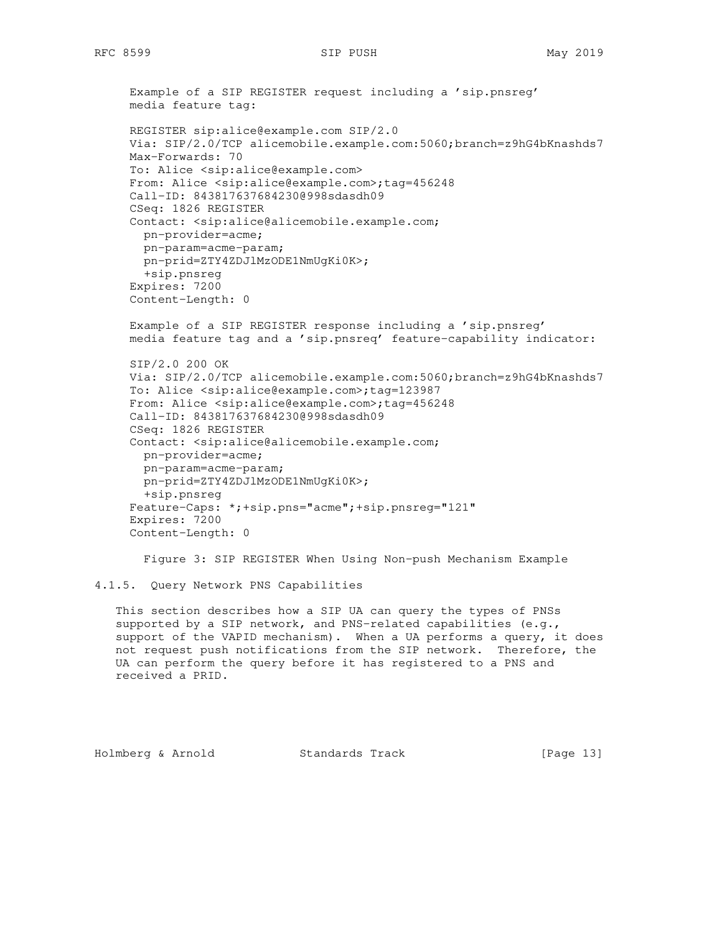```
 Example of a SIP REGISTER request including a 'sip.pnsreg'
 media feature tag:
 REGISTER sip:alice@example.com SIP/2.0
 Via: SIP/2.0/TCP alicemobile.example.com:5060;branch=z9hG4bKnashds7
 Max-Forwards: 70
 To: Alice <sip:alice@example.com>
 From: Alice <sip:alice@example.com>;tag=456248
 Call-ID: 843817637684230@998sdasdh09
 CSeq: 1826 REGISTER
 Contact: <sip:alice@alicemobile.example.com;
  pn-provider=acme;
  pn-param=acme-param;
  pn-prid=ZTY4ZDJlMzODE1NmUgKi0K>;
   +sip.pnsreg
 Expires: 7200
 Content-Length: 0
 Example of a SIP REGISTER response including a 'sip.pnsreg'
 media feature tag and a 'sip.pnsreq' feature-capability indicator:
 SIP/2.0 200 OK
 Via: SIP/2.0/TCP alicemobile.example.com:5060;branch=z9hG4bKnashds7
 To: Alice <sip:alice@example.com>;tag=123987
From: Alice <sip:alice@example.com>;tag=456248
 Call-ID: 843817637684230@998sdasdh09
 CSeq: 1826 REGISTER
 Contact: <sip:alice@alicemobile.example.com;
  pn-provider=acme;
  pn-param=acme-param;
  pn-prid=ZTY4ZDJlMzODE1NmUgKi0K>;
  +sip.pnsreg
 Feature-Caps: *;+sip.pns="acme";+sip.pnsreg="121"
 Expires: 7200
 Content-Length: 0
   Figure 3: SIP REGISTER When Using Non-push Mechanism Example
```

```
4.1.5. Query Network PNS Capabilities
```
 This section describes how a SIP UA can query the types of PNSs supported by a SIP network, and PNS-related capabilities (e.g., support of the VAPID mechanism). When a UA performs a query, it does not request push notifications from the SIP network. Therefore, the UA can perform the query before it has registered to a PNS and received a PRID.

Holmberg & Arnold Standards Track [Page 13]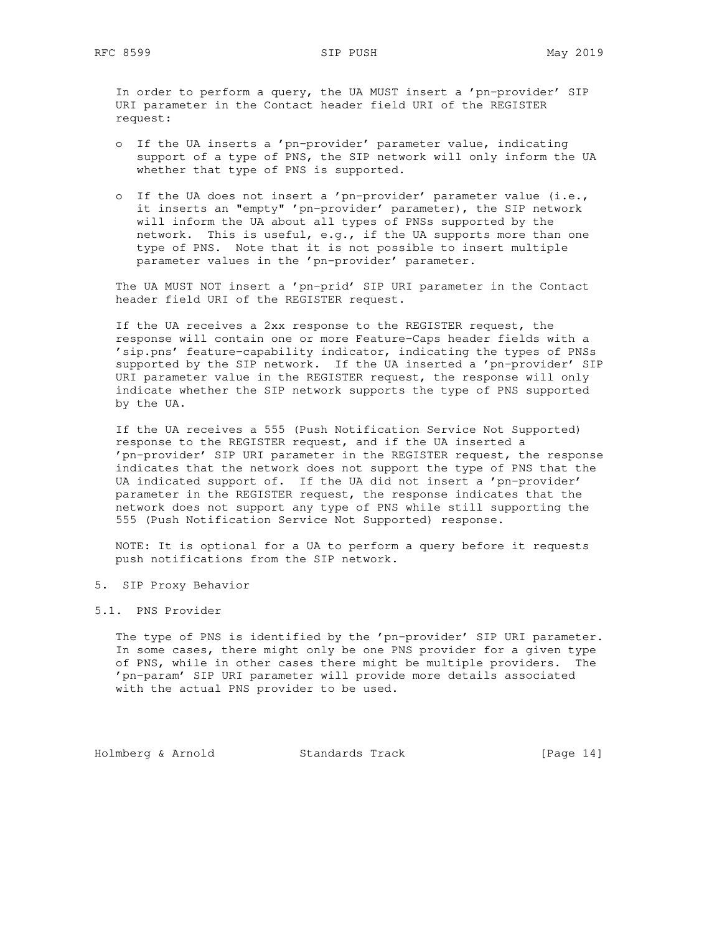In order to perform a query, the UA MUST insert a 'pn-provider' SIP URI parameter in the Contact header field URI of the REGISTER request:

- o If the UA inserts a 'pn-provider' parameter value, indicating support of a type of PNS, the SIP network will only inform the UA whether that type of PNS is supported.
- o If the UA does not insert a 'pn-provider' parameter value (i.e., it inserts an "empty" 'pn-provider' parameter), the SIP network will inform the UA about all types of PNSs supported by the network. This is useful, e.g., if the UA supports more than one type of PNS. Note that it is not possible to insert multiple parameter values in the 'pn-provider' parameter.

 The UA MUST NOT insert a 'pn-prid' SIP URI parameter in the Contact header field URI of the REGISTER request.

 If the UA receives a 2xx response to the REGISTER request, the response will contain one or more Feature-Caps header fields with a 'sip.pns' feature-capability indicator, indicating the types of PNSs supported by the SIP network. If the UA inserted a 'pn-provider' SIP URI parameter value in the REGISTER request, the response will only indicate whether the SIP network supports the type of PNS supported by the UA.

 If the UA receives a 555 (Push Notification Service Not Supported) response to the REGISTER request, and if the UA inserted a 'pn-provider' SIP URI parameter in the REGISTER request, the response indicates that the network does not support the type of PNS that the UA indicated support of. If the UA did not insert a 'pn-provider' parameter in the REGISTER request, the response indicates that the network does not support any type of PNS while still supporting the 555 (Push Notification Service Not Supported) response.

 NOTE: It is optional for a UA to perform a query before it requests push notifications from the SIP network.

- 5. SIP Proxy Behavior
- 5.1. PNS Provider

 The type of PNS is identified by the 'pn-provider' SIP URI parameter. In some cases, there might only be one PNS provider for a given type of PNS, while in other cases there might be multiple providers. The 'pn-param' SIP URI parameter will provide more details associated with the actual PNS provider to be used.

Holmberg & Arnold Standards Track [Page 14]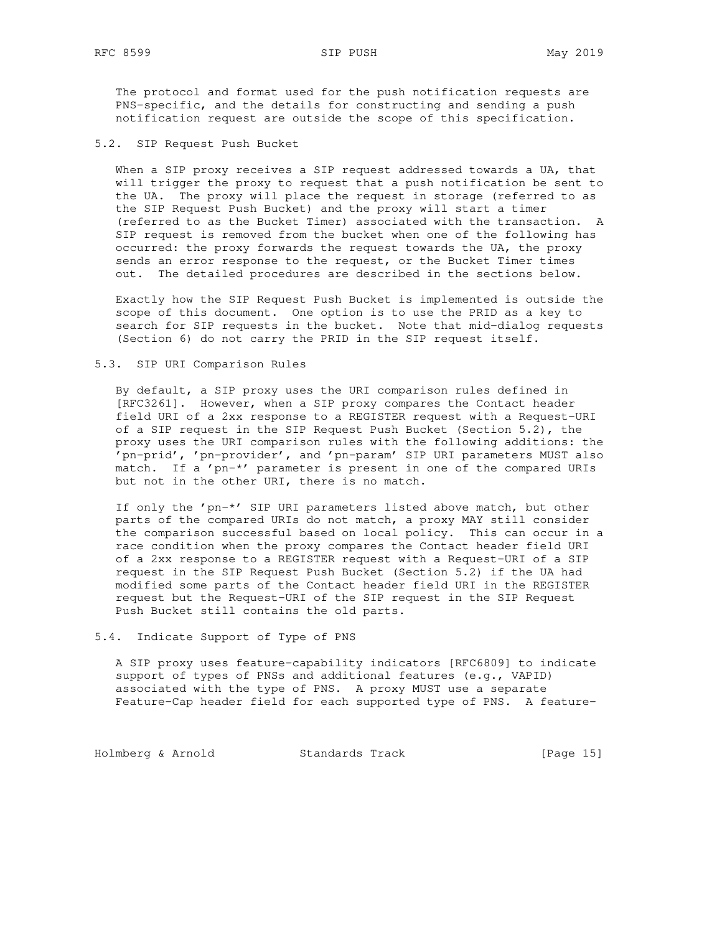The protocol and format used for the push notification requests are PNS-specific, and the details for constructing and sending a push notification request are outside the scope of this specification.

5.2. SIP Request Push Bucket

When a SIP proxy receives a SIP request addressed towards a UA, that will trigger the proxy to request that a push notification be sent to the UA. The proxy will place the request in storage (referred to as the SIP Request Push Bucket) and the proxy will start a timer (referred to as the Bucket Timer) associated with the transaction. A SIP request is removed from the bucket when one of the following has occurred: the proxy forwards the request towards the UA, the proxy sends an error response to the request, or the Bucket Timer times out. The detailed procedures are described in the sections below.

 Exactly how the SIP Request Push Bucket is implemented is outside the scope of this document. One option is to use the PRID as a key to search for SIP requests in the bucket. Note that mid-dialog requests (Section 6) do not carry the PRID in the SIP request itself.

## 5.3. SIP URI Comparison Rules

 By default, a SIP proxy uses the URI comparison rules defined in [RFC3261]. However, when a SIP proxy compares the Contact header field URI of a 2xx response to a REGISTER request with a Request-URI of a SIP request in the SIP Request Push Bucket (Section 5.2), the proxy uses the URI comparison rules with the following additions: the 'pn-prid', 'pn-provider', and 'pn-param' SIP URI parameters MUST also match. If a 'pn-\*' parameter is present in one of the compared URIs but not in the other URI, there is no match.

 If only the 'pn-\*' SIP URI parameters listed above match, but other parts of the compared URIs do not match, a proxy MAY still consider the comparison successful based on local policy. This can occur in a race condition when the proxy compares the Contact header field URI of a 2xx response to a REGISTER request with a Request-URI of a SIP request in the SIP Request Push Bucket (Section 5.2) if the UA had modified some parts of the Contact header field URI in the REGISTER request but the Request-URI of the SIP request in the SIP Request Push Bucket still contains the old parts.

## 5.4. Indicate Support of Type of PNS

 A SIP proxy uses feature-capability indicators [RFC6809] to indicate support of types of PNSs and additional features (e.g., VAPID) associated with the type of PNS. A proxy MUST use a separate Feature-Cap header field for each supported type of PNS. A feature-

Holmberg & Arnold Standards Track [Page 15]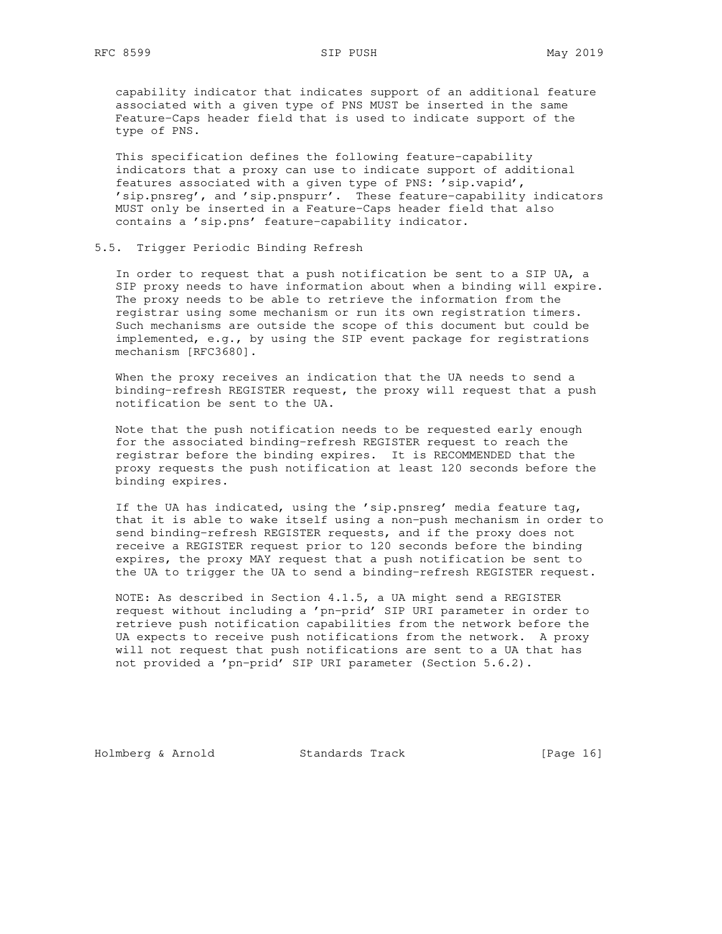capability indicator that indicates support of an additional feature associated with a given type of PNS MUST be inserted in the same Feature-Caps header field that is used to indicate support of the type of PNS.

 This specification defines the following feature-capability indicators that a proxy can use to indicate support of additional features associated with a given type of PNS: 'sip.vapid', 'sip.pnsreg', and 'sip.pnspurr'. These feature-capability indicators MUST only be inserted in a Feature-Caps header field that also contains a 'sip.pns' feature-capability indicator.

## 5.5. Trigger Periodic Binding Refresh

 In order to request that a push notification be sent to a SIP UA, a SIP proxy needs to have information about when a binding will expire. The proxy needs to be able to retrieve the information from the registrar using some mechanism or run its own registration timers. Such mechanisms are outside the scope of this document but could be implemented, e.g., by using the SIP event package for registrations mechanism [RFC3680].

 When the proxy receives an indication that the UA needs to send a binding-refresh REGISTER request, the proxy will request that a push notification be sent to the UA.

 Note that the push notification needs to be requested early enough for the associated binding-refresh REGISTER request to reach the registrar before the binding expires. It is RECOMMENDED that the proxy requests the push notification at least 120 seconds before the binding expires.

 If the UA has indicated, using the 'sip.pnsreg' media feature tag, that it is able to wake itself using a non-push mechanism in order to send binding-refresh REGISTER requests, and if the proxy does not receive a REGISTER request prior to 120 seconds before the binding expires, the proxy MAY request that a push notification be sent to the UA to trigger the UA to send a binding-refresh REGISTER request.

 NOTE: As described in Section 4.1.5, a UA might send a REGISTER request without including a 'pn-prid' SIP URI parameter in order to retrieve push notification capabilities from the network before the UA expects to receive push notifications from the network. A proxy will not request that push notifications are sent to a UA that has not provided a 'pn-prid' SIP URI parameter (Section 5.6.2).

Holmberg & Arnold Standards Track [Page 16]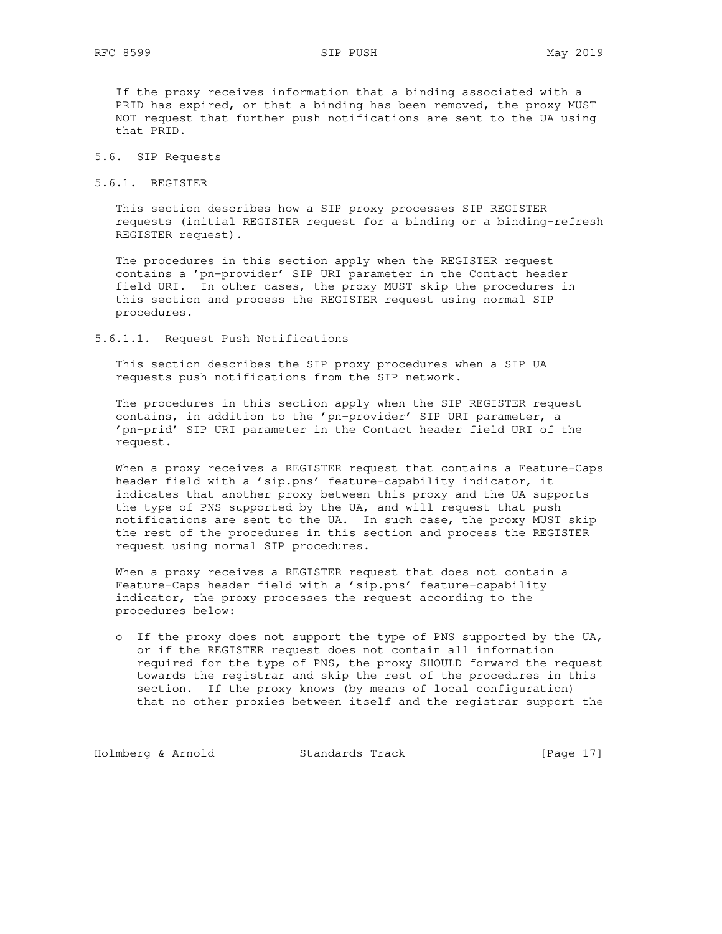If the proxy receives information that a binding associated with a PRID has expired, or that a binding has been removed, the proxy MUST NOT request that further push notifications are sent to the UA using that PRID.

- 5.6. SIP Requests
- 5.6.1. REGISTER

 This section describes how a SIP proxy processes SIP REGISTER requests (initial REGISTER request for a binding or a binding-refresh REGISTER request).

 The procedures in this section apply when the REGISTER request contains a 'pn-provider' SIP URI parameter in the Contact header field URI. In other cases, the proxy MUST skip the procedures in this section and process the REGISTER request using normal SIP procedures.

5.6.1.1. Request Push Notifications

 This section describes the SIP proxy procedures when a SIP UA requests push notifications from the SIP network.

 The procedures in this section apply when the SIP REGISTER request contains, in addition to the 'pn-provider' SIP URI parameter, a 'pn-prid' SIP URI parameter in the Contact header field URI of the request.

 When a proxy receives a REGISTER request that contains a Feature-Caps header field with a 'sip.pns' feature-capability indicator, it indicates that another proxy between this proxy and the UA supports the type of PNS supported by the UA, and will request that push notifications are sent to the UA. In such case, the proxy MUST skip the rest of the procedures in this section and process the REGISTER request using normal SIP procedures.

 When a proxy receives a REGISTER request that does not contain a Feature-Caps header field with a 'sip.pns' feature-capability indicator, the proxy processes the request according to the procedures below:

 o If the proxy does not support the type of PNS supported by the UA, or if the REGISTER request does not contain all information required for the type of PNS, the proxy SHOULD forward the request towards the registrar and skip the rest of the procedures in this section. If the proxy knows (by means of local configuration) that no other proxies between itself and the registrar support the

Holmberg & Arnold Standards Track [Page 17]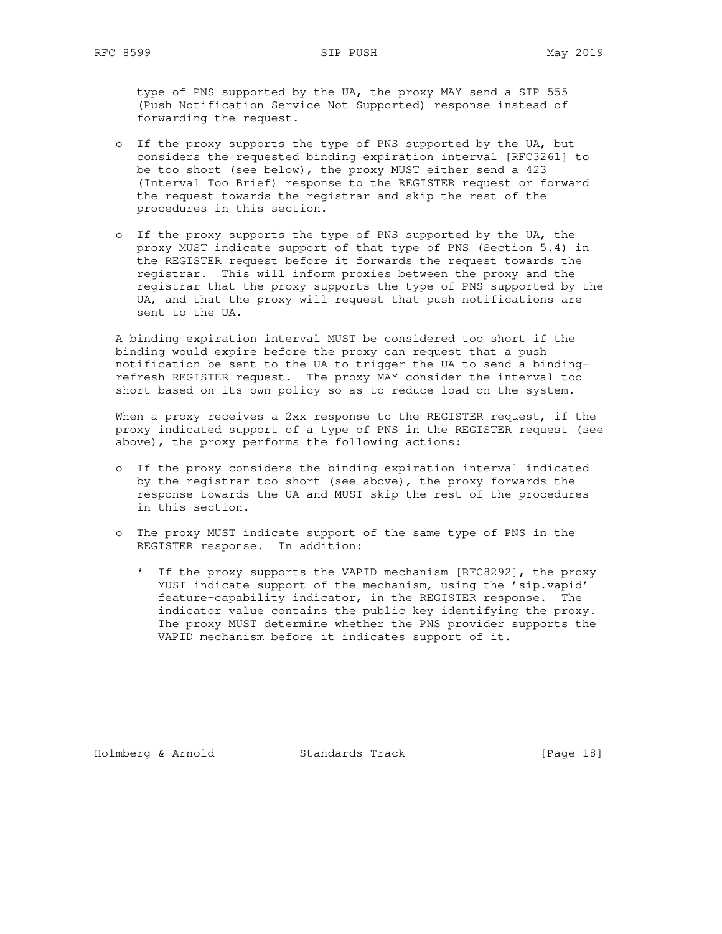type of PNS supported by the UA, the proxy MAY send a SIP 555 (Push Notification Service Not Supported) response instead of forwarding the request.

- o If the proxy supports the type of PNS supported by the UA, but considers the requested binding expiration interval [RFC3261] to be too short (see below), the proxy MUST either send a 423 (Interval Too Brief) response to the REGISTER request or forward the request towards the registrar and skip the rest of the procedures in this section.
- o If the proxy supports the type of PNS supported by the UA, the proxy MUST indicate support of that type of PNS (Section 5.4) in the REGISTER request before it forwards the request towards the registrar. This will inform proxies between the proxy and the registrar that the proxy supports the type of PNS supported by the UA, and that the proxy will request that push notifications are sent to the UA.

 A binding expiration interval MUST be considered too short if the binding would expire before the proxy can request that a push notification be sent to the UA to trigger the UA to send a binding refresh REGISTER request. The proxy MAY consider the interval too short based on its own policy so as to reduce load on the system.

When a proxy receives a 2xx response to the REGISTER request, if the proxy indicated support of a type of PNS in the REGISTER request (see above), the proxy performs the following actions:

- o If the proxy considers the binding expiration interval indicated by the registrar too short (see above), the proxy forwards the response towards the UA and MUST skip the rest of the procedures in this section.
- o The proxy MUST indicate support of the same type of PNS in the REGISTER response. In addition:
	- \* If the proxy supports the VAPID mechanism [RFC8292], the proxy MUST indicate support of the mechanism, using the 'sip.vapid' feature-capability indicator, in the REGISTER response. The indicator value contains the public key identifying the proxy. The proxy MUST determine whether the PNS provider supports the VAPID mechanism before it indicates support of it.

Holmberg & Arnold Standards Track [Page 18]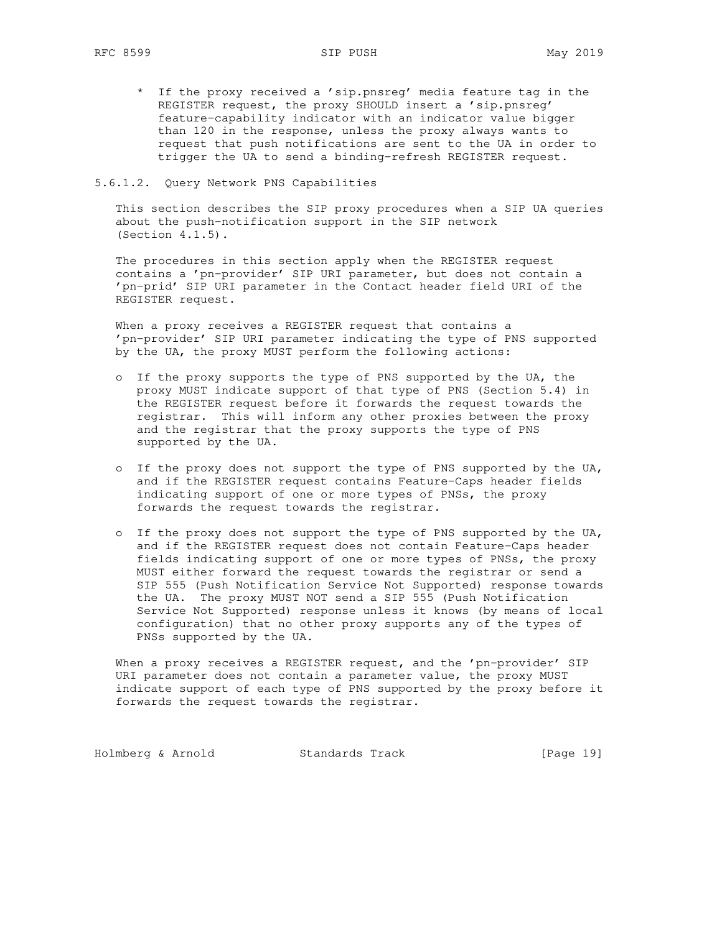\* If the proxy received a 'sip.pnsreg' media feature tag in the REGISTER request, the proxy SHOULD insert a 'sip.pnsreg' feature-capability indicator with an indicator value bigger than 120 in the response, unless the proxy always wants to request that push notifications are sent to the UA in order to trigger the UA to send a binding-refresh REGISTER request.

### 5.6.1.2. Query Network PNS Capabilities

 This section describes the SIP proxy procedures when a SIP UA queries about the push-notification support in the SIP network (Section 4.1.5).

 The procedures in this section apply when the REGISTER request contains a 'pn-provider' SIP URI parameter, but does not contain a 'pn-prid' SIP URI parameter in the Contact header field URI of the REGISTER request.

 When a proxy receives a REGISTER request that contains a 'pn-provider' SIP URI parameter indicating the type of PNS supported by the UA, the proxy MUST perform the following actions:

- o If the proxy supports the type of PNS supported by the UA, the proxy MUST indicate support of that type of PNS (Section 5.4) in the REGISTER request before it forwards the request towards the registrar. This will inform any other proxies between the proxy and the registrar that the proxy supports the type of PNS supported by the UA.
- o If the proxy does not support the type of PNS supported by the UA, and if the REGISTER request contains Feature-Caps header fields indicating support of one or more types of PNSs, the proxy forwards the request towards the registrar.
- o If the proxy does not support the type of PNS supported by the UA, and if the REGISTER request does not contain Feature-Caps header fields indicating support of one or more types of PNSs, the proxy MUST either forward the request towards the registrar or send a SIP 555 (Push Notification Service Not Supported) response towards the UA. The proxy MUST NOT send a SIP 555 (Push Notification Service Not Supported) response unless it knows (by means of local configuration) that no other proxy supports any of the types of PNSs supported by the UA.

When a proxy receives a REGISTER request, and the 'pn-provider' SIP URI parameter does not contain a parameter value, the proxy MUST indicate support of each type of PNS supported by the proxy before it forwards the request towards the registrar.

Holmberg & Arnold Standards Track [Page 19]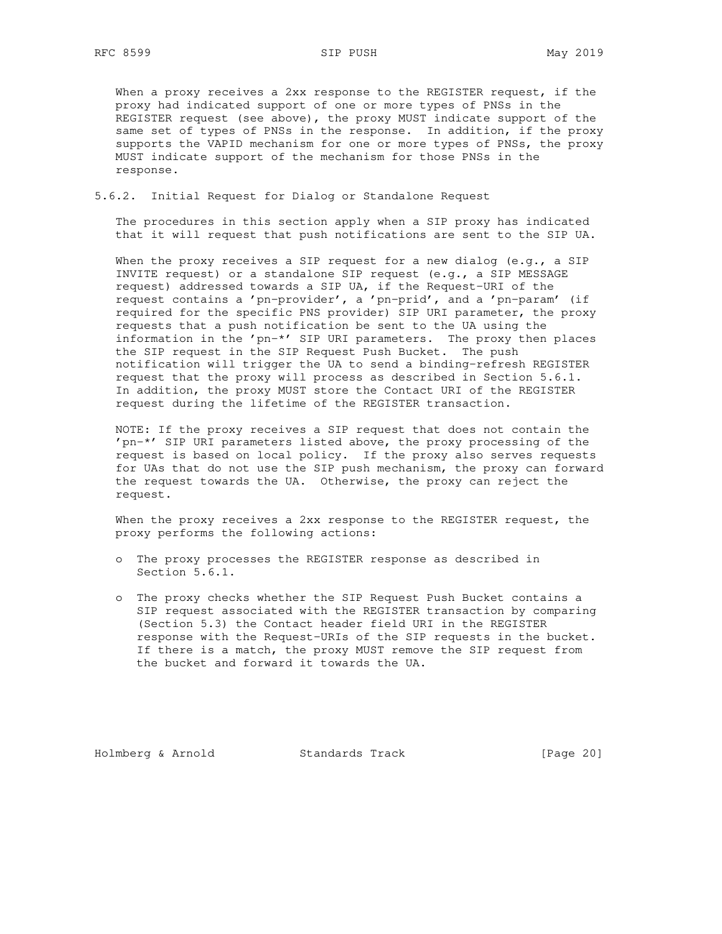When a proxy receives a 2xx response to the REGISTER request, if the proxy had indicated support of one or more types of PNSs in the REGISTER request (see above), the proxy MUST indicate support of the same set of types of PNSs in the response. In addition, if the proxy supports the VAPID mechanism for one or more types of PNSs, the proxy MUST indicate support of the mechanism for those PNSs in the response.

5.6.2. Initial Request for Dialog or Standalone Request

 The procedures in this section apply when a SIP proxy has indicated that it will request that push notifications are sent to the SIP UA.

When the proxy receives a SIP request for a new dialog  $(e,q., a$  SIP INVITE request) or a standalone SIP request (e.g., a SIP MESSAGE request) addressed towards a SIP UA, if the Request-URI of the request contains a 'pn-provider', a 'pn-prid', and a 'pn-param' (if required for the specific PNS provider) SIP URI parameter, the proxy requests that a push notification be sent to the UA using the information in the 'pn-\*' SIP URI parameters. The proxy then places the SIP request in the SIP Request Push Bucket. The push notification will trigger the UA to send a binding-refresh REGISTER request that the proxy will process as described in Section 5.6.1. In addition, the proxy MUST store the Contact URI of the REGISTER request during the lifetime of the REGISTER transaction.

 NOTE: If the proxy receives a SIP request that does not contain the 'pn-\*' SIP URI parameters listed above, the proxy processing of the request is based on local policy. If the proxy also serves requests for UAs that do not use the SIP push mechanism, the proxy can forward the request towards the UA. Otherwise, the proxy can reject the request.

 When the proxy receives a 2xx response to the REGISTER request, the proxy performs the following actions:

- o The proxy processes the REGISTER response as described in Section 5.6.1.
- o The proxy checks whether the SIP Request Push Bucket contains a SIP request associated with the REGISTER transaction by comparing (Section 5.3) the Contact header field URI in the REGISTER response with the Request-URIs of the SIP requests in the bucket. If there is a match, the proxy MUST remove the SIP request from the bucket and forward it towards the UA.

Holmberg & Arnold Standards Track [Page 20]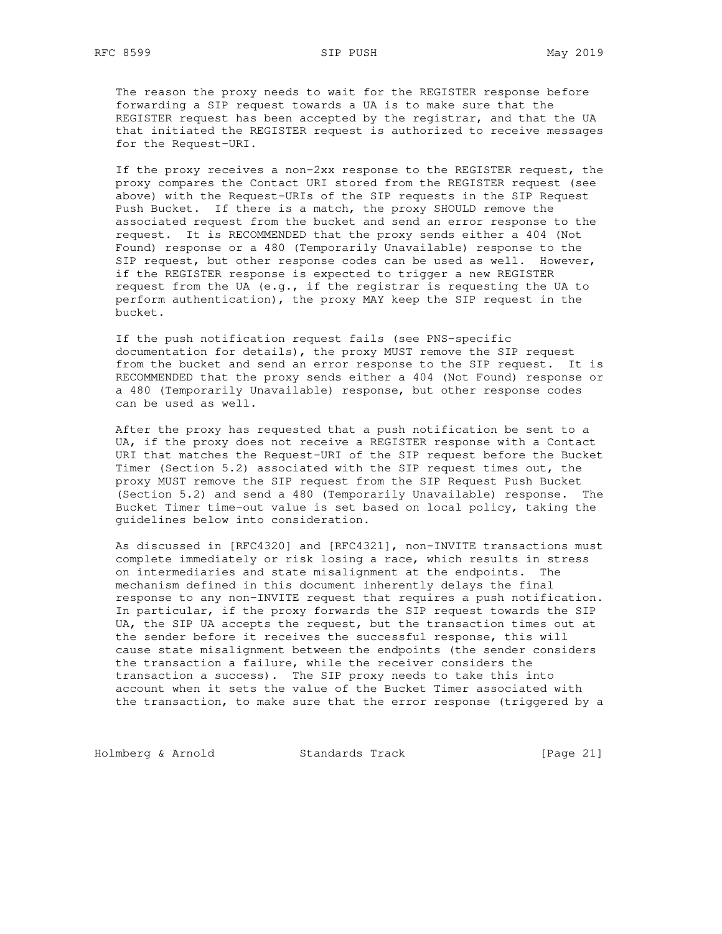The reason the proxy needs to wait for the REGISTER response before forwarding a SIP request towards a UA is to make sure that the REGISTER request has been accepted by the registrar, and that the UA that initiated the REGISTER request is authorized to receive messages for the Request-URI.

 If the proxy receives a non-2xx response to the REGISTER request, the proxy compares the Contact URI stored from the REGISTER request (see above) with the Request-URIs of the SIP requests in the SIP Request Push Bucket. If there is a match, the proxy SHOULD remove the associated request from the bucket and send an error response to the request. It is RECOMMENDED that the proxy sends either a 404 (Not Found) response or a 480 (Temporarily Unavailable) response to the SIP request, but other response codes can be used as well. However, if the REGISTER response is expected to trigger a new REGISTER request from the UA (e.g., if the registrar is requesting the UA to perform authentication), the proxy MAY keep the SIP request in the bucket.

 If the push notification request fails (see PNS-specific documentation for details), the proxy MUST remove the SIP request from the bucket and send an error response to the SIP request. It is RECOMMENDED that the proxy sends either a 404 (Not Found) response or a 480 (Temporarily Unavailable) response, but other response codes can be used as well.

 After the proxy has requested that a push notification be sent to a UA, if the proxy does not receive a REGISTER response with a Contact URI that matches the Request-URI of the SIP request before the Bucket Timer (Section 5.2) associated with the SIP request times out, the proxy MUST remove the SIP request from the SIP Request Push Bucket (Section 5.2) and send a 480 (Temporarily Unavailable) response. The Bucket Timer time-out value is set based on local policy, taking the guidelines below into consideration.

 As discussed in [RFC4320] and [RFC4321], non-INVITE transactions must complete immediately or risk losing a race, which results in stress on intermediaries and state misalignment at the endpoints. The mechanism defined in this document inherently delays the final response to any non-INVITE request that requires a push notification. In particular, if the proxy forwards the SIP request towards the SIP UA, the SIP UA accepts the request, but the transaction times out at the sender before it receives the successful response, this will cause state misalignment between the endpoints (the sender considers the transaction a failure, while the receiver considers the transaction a success). The SIP proxy needs to take this into account when it sets the value of the Bucket Timer associated with the transaction, to make sure that the error response (triggered by a

Holmberg & Arnold Standards Track [Page 21]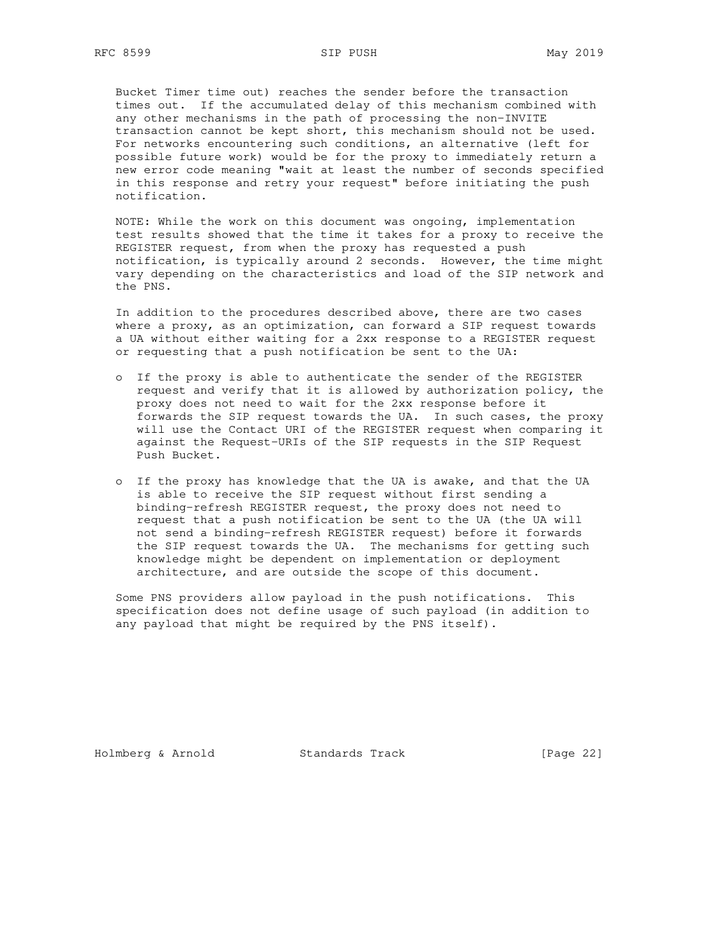Bucket Timer time out) reaches the sender before the transaction times out. If the accumulated delay of this mechanism combined with any other mechanisms in the path of processing the non-INVITE transaction cannot be kept short, this mechanism should not be used. For networks encountering such conditions, an alternative (left for possible future work) would be for the proxy to immediately return a new error code meaning "wait at least the number of seconds specified in this response and retry your request" before initiating the push notification.

 NOTE: While the work on this document was ongoing, implementation test results showed that the time it takes for a proxy to receive the REGISTER request, from when the proxy has requested a push notification, is typically around 2 seconds. However, the time might vary depending on the characteristics and load of the SIP network and the PNS.

 In addition to the procedures described above, there are two cases where a proxy, as an optimization, can forward a SIP request towards a UA without either waiting for a 2xx response to a REGISTER request or requesting that a push notification be sent to the UA:

- o If the proxy is able to authenticate the sender of the REGISTER request and verify that it is allowed by authorization policy, the proxy does not need to wait for the 2xx response before it forwards the SIP request towards the UA. In such cases, the proxy will use the Contact URI of the REGISTER request when comparing it against the Request-URIs of the SIP requests in the SIP Request Push Bucket.
- o If the proxy has knowledge that the UA is awake, and that the UA is able to receive the SIP request without first sending a binding-refresh REGISTER request, the proxy does not need to request that a push notification be sent to the UA (the UA will not send a binding-refresh REGISTER request) before it forwards the SIP request towards the UA. The mechanisms for getting such knowledge might be dependent on implementation or deployment architecture, and are outside the scope of this document.

 Some PNS providers allow payload in the push notifications. This specification does not define usage of such payload (in addition to any payload that might be required by the PNS itself).

Holmberg & Arnold Standards Track [Page 22]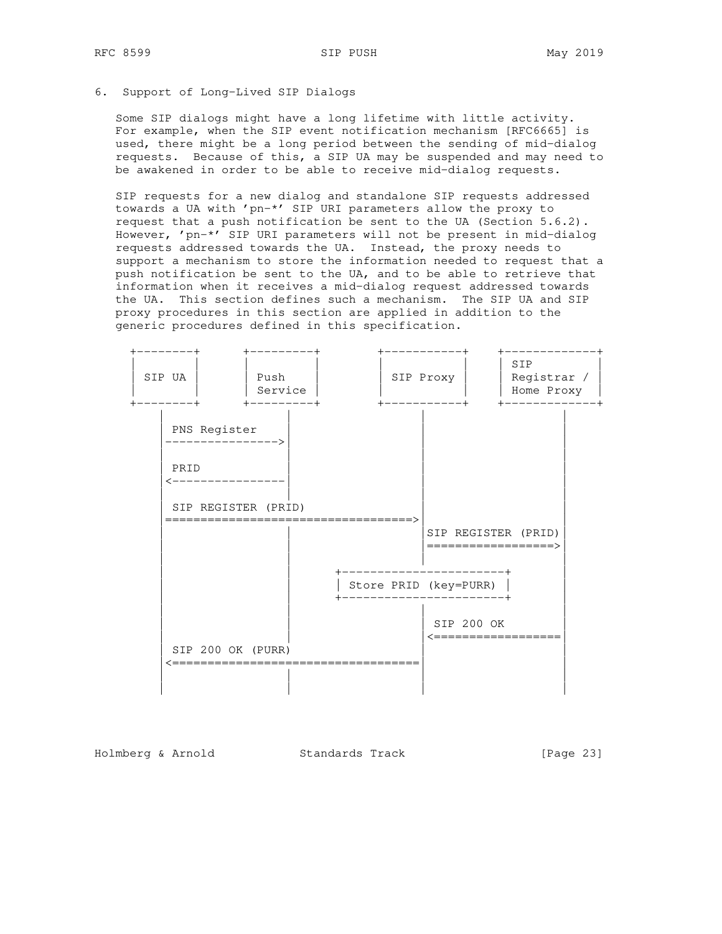## 6. Support of Long-Lived SIP Dialogs

 Some SIP dialogs might have a long lifetime with little activity. For example, when the SIP event notification mechanism [RFC6665] is used, there might be a long period between the sending of mid-dialog requests. Because of this, a SIP UA may be suspended and may need to be awakened in order to be able to receive mid-dialog requests.

 SIP requests for a new dialog and standalone SIP requests addressed towards a UA with 'pn-\*' SIP URI parameters allow the proxy to request that a push notification be sent to the UA (Section 5.6.2). However, 'pn-\*' SIP URI parameters will not be present in mid-dialog requests addressed towards the UA. Instead, the proxy needs to support a mechanism to store the information needed to request that a push notification be sent to the UA, and to be able to retrieve that information when it receives a mid-dialog request addressed towards the UA. This section defines such a mechanism. The SIP UA and SIP proxy procedures in this section are applied in addition to the generic procedures defined in this specification.



Holmberg & Arnold Standards Track [Page 23]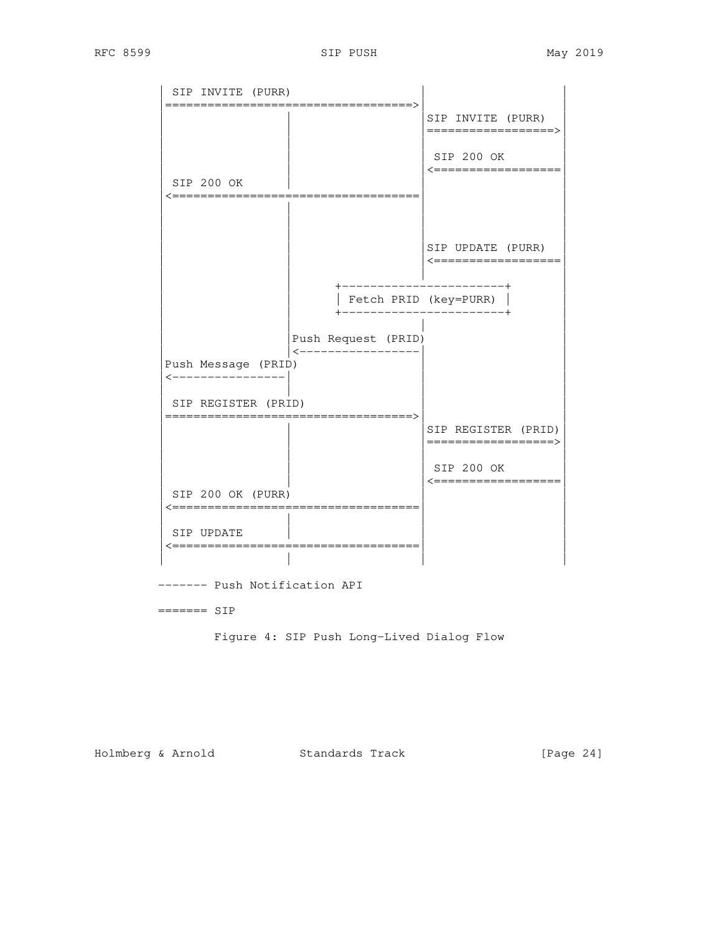

------- Push Notification API

======= SIP

Figure 4: SIP Push Long-Lived Dialog Flow

Holmberg & Arnold Standards Track [Page 24]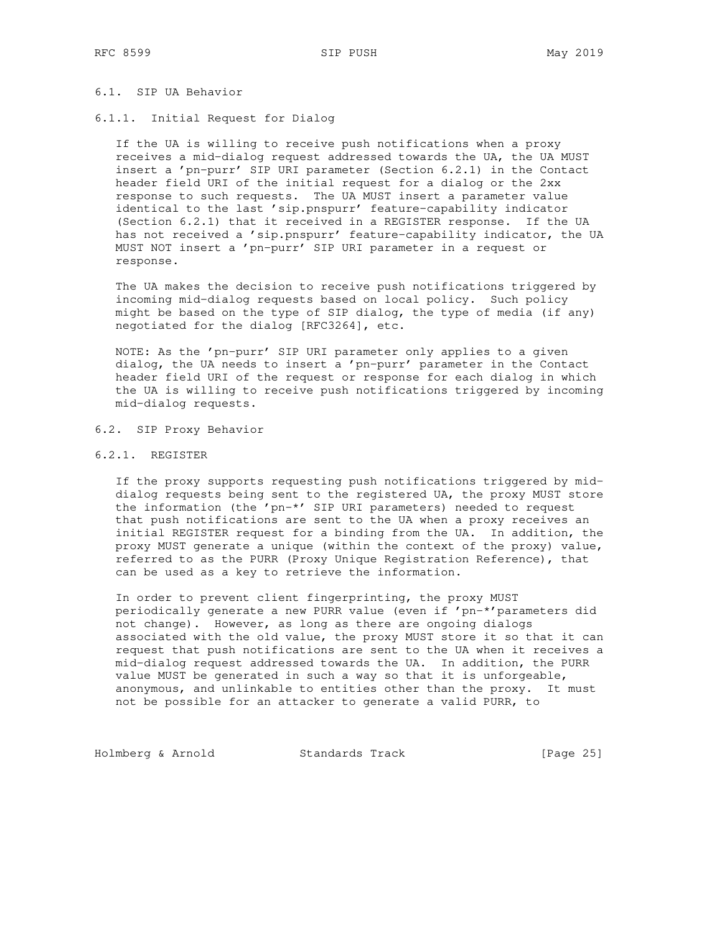## 6.1. SIP UA Behavior

6.1.1. Initial Request for Dialog

 If the UA is willing to receive push notifications when a proxy receives a mid-dialog request addressed towards the UA, the UA MUST insert a 'pn-purr' SIP URI parameter (Section 6.2.1) in the Contact header field URI of the initial request for a dialog or the 2xx response to such requests. The UA MUST insert a parameter value identical to the last 'sip.pnspurr' feature-capability indicator (Section 6.2.1) that it received in a REGISTER response. If the UA has not received a 'sip.pnspurr' feature-capability indicator, the UA MUST NOT insert a 'pn-purr' SIP URI parameter in a request or response.

 The UA makes the decision to receive push notifications triggered by incoming mid-dialog requests based on local policy. Such policy might be based on the type of SIP dialog, the type of media (if any) negotiated for the dialog [RFC3264], etc.

 NOTE: As the 'pn-purr' SIP URI parameter only applies to a given dialog, the UA needs to insert a 'pn-purr' parameter in the Contact header field URI of the request or response for each dialog in which the UA is willing to receive push notifications triggered by incoming mid-dialog requests.

## 6.2. SIP Proxy Behavior

6.2.1. REGISTER

 If the proxy supports requesting push notifications triggered by mid dialog requests being sent to the registered UA, the proxy MUST store the information (the 'pn-\*' SIP URI parameters) needed to request that push notifications are sent to the UA when a proxy receives an initial REGISTER request for a binding from the UA. In addition, the proxy MUST generate a unique (within the context of the proxy) value, referred to as the PURR (Proxy Unique Registration Reference), that can be used as a key to retrieve the information.

 In order to prevent client fingerprinting, the proxy MUST periodically generate a new PURR value (even if 'pn-\*'parameters did not change). However, as long as there are ongoing dialogs associated with the old value, the proxy MUST store it so that it can request that push notifications are sent to the UA when it receives a mid-dialog request addressed towards the UA. In addition, the PURR value MUST be generated in such a way so that it is unforgeable, anonymous, and unlinkable to entities other than the proxy. It must not be possible for an attacker to generate a valid PURR, to

Holmberg & Arnold Standards Track [Page 25]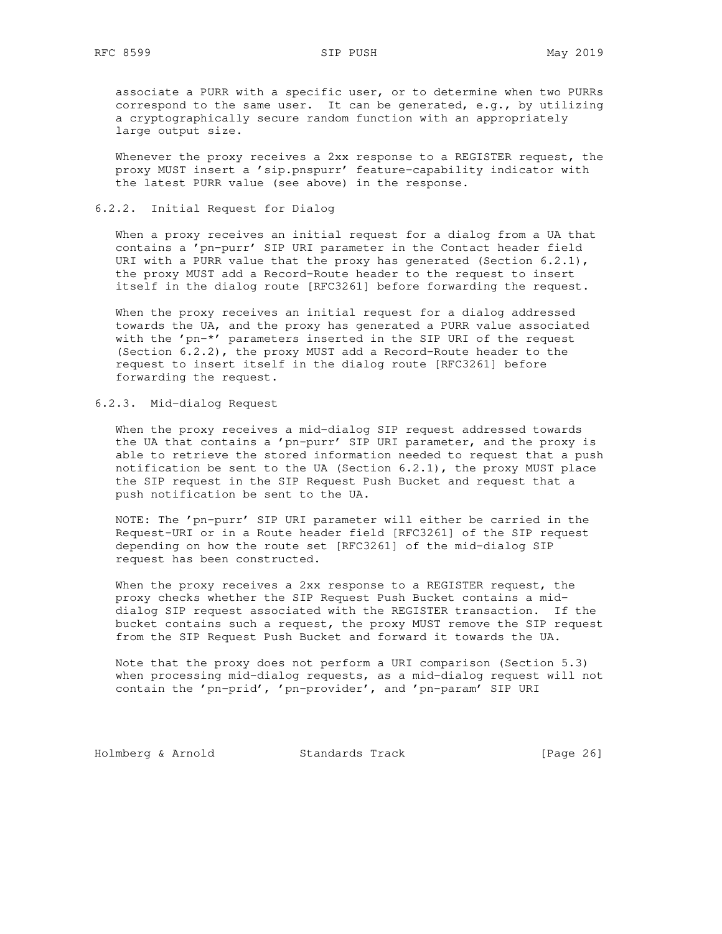associate a PURR with a specific user, or to determine when two PURRs correspond to the same user. It can be generated, e.g., by utilizing a cryptographically secure random function with an appropriately large output size.

 Whenever the proxy receives a 2xx response to a REGISTER request, the proxy MUST insert a 'sip.pnspurr' feature-capability indicator with the latest PURR value (see above) in the response.

## 6.2.2. Initial Request for Dialog

 When a proxy receives an initial request for a dialog from a UA that contains a 'pn-purr' SIP URI parameter in the Contact header field URI with a PURR value that the proxy has generated (Section  $6.2.1$ ), the proxy MUST add a Record-Route header to the request to insert itself in the dialog route [RFC3261] before forwarding the request.

 When the proxy receives an initial request for a dialog addressed towards the UA, and the proxy has generated a PURR value associated with the 'pn-\*' parameters inserted in the SIP URI of the request (Section 6.2.2), the proxy MUST add a Record-Route header to the request to insert itself in the dialog route [RFC3261] before forwarding the request.

## 6.2.3. Mid-dialog Request

 When the proxy receives a mid-dialog SIP request addressed towards the UA that contains a 'pn-purr' SIP URI parameter, and the proxy is able to retrieve the stored information needed to request that a push notification be sent to the UA (Section 6.2.1), the proxy MUST place the SIP request in the SIP Request Push Bucket and request that a push notification be sent to the UA.

 NOTE: The 'pn-purr' SIP URI parameter will either be carried in the Request-URI or in a Route header field [RFC3261] of the SIP request depending on how the route set [RFC3261] of the mid-dialog SIP request has been constructed.

 When the proxy receives a 2xx response to a REGISTER request, the proxy checks whether the SIP Request Push Bucket contains a mid dialog SIP request associated with the REGISTER transaction. If the bucket contains such a request, the proxy MUST remove the SIP request from the SIP Request Push Bucket and forward it towards the UA.

 Note that the proxy does not perform a URI comparison (Section 5.3) when processing mid-dialog requests, as a mid-dialog request will not contain the 'pn-prid', 'pn-provider', and 'pn-param' SIP URI

Holmberg & Arnold Standards Track [Page 26]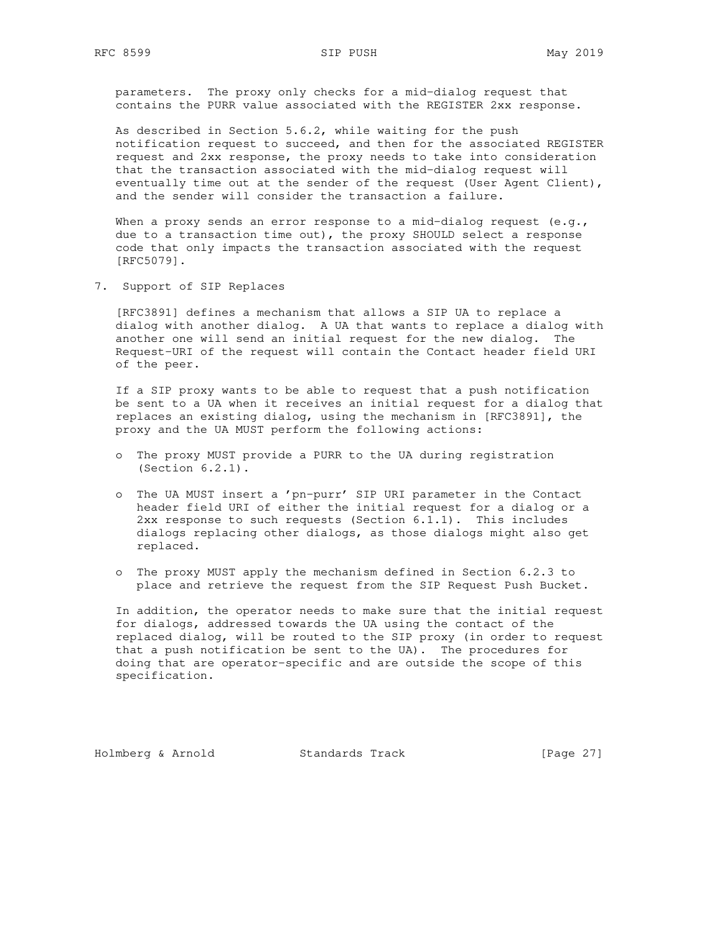parameters. The proxy only checks for a mid-dialog request that contains the PURR value associated with the REGISTER 2xx response.

 As described in Section 5.6.2, while waiting for the push notification request to succeed, and then for the associated REGISTER request and 2xx response, the proxy needs to take into consideration that the transaction associated with the mid-dialog request will eventually time out at the sender of the request (User Agent Client), and the sender will consider the transaction a failure.

When a proxy sends an error response to a mid-dialog request (e.g., due to a transaction time out), the proxy SHOULD select a response code that only impacts the transaction associated with the request [RFC5079].

7. Support of SIP Replaces

 [RFC3891] defines a mechanism that allows a SIP UA to replace a dialog with another dialog. A UA that wants to replace a dialog with another one will send an initial request for the new dialog. The Request-URI of the request will contain the Contact header field URI of the peer.

 If a SIP proxy wants to be able to request that a push notification be sent to a UA when it receives an initial request for a dialog that replaces an existing dialog, using the mechanism in [RFC3891], the proxy and the UA MUST perform the following actions:

- o The proxy MUST provide a PURR to the UA during registration (Section 6.2.1).
- o The UA MUST insert a 'pn-purr' SIP URI parameter in the Contact header field URI of either the initial request for a dialog or a 2xx response to such requests (Section 6.1.1). This includes dialogs replacing other dialogs, as those dialogs might also get replaced.
- o The proxy MUST apply the mechanism defined in Section 6.2.3 to place and retrieve the request from the SIP Request Push Bucket.

 In addition, the operator needs to make sure that the initial request for dialogs, addressed towards the UA using the contact of the replaced dialog, will be routed to the SIP proxy (in order to request that a push notification be sent to the UA). The procedures for doing that are operator-specific and are outside the scope of this specification.

Holmberg & Arnold Standards Track [Page 27]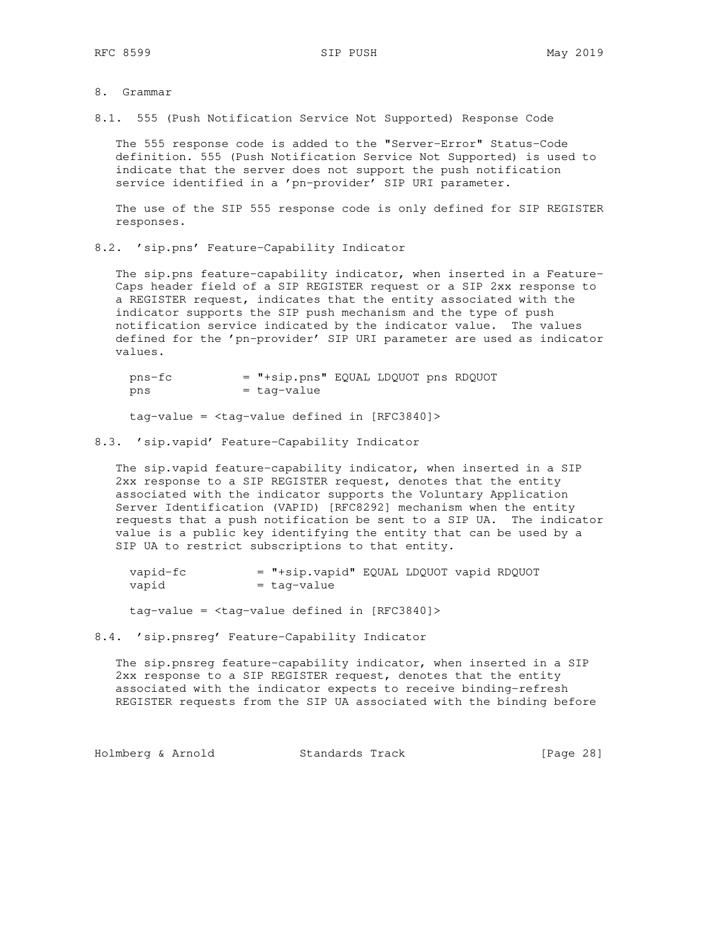- 8. Grammar
- 8.1. 555 (Push Notification Service Not Supported) Response Code

 The 555 response code is added to the "Server-Error" Status-Code definition. 555 (Push Notification Service Not Supported) is used to indicate that the server does not support the push notification service identified in a 'pn-provider' SIP URI parameter.

 The use of the SIP 555 response code is only defined for SIP REGISTER responses.

8.2. 'sip.pns' Feature-Capability Indicator

 The sip.pns feature-capability indicator, when inserted in a Feature- Caps header field of a SIP REGISTER request or a SIP 2xx response to a REGISTER request, indicates that the entity associated with the indicator supports the SIP push mechanism and the type of push notification service indicated by the indicator value. The values defined for the 'pn-provider' SIP URI parameter are used as indicator values.

 pns-fc = "+sip.pns" EQUAL LDQUOT pns RDQUOT  $pns = tag-value$ 

tag-value = <tag-value defined in [RFC3840]>

8.3. 'sip.vapid' Feature-Capability Indicator

 The sip.vapid feature-capability indicator, when inserted in a SIP 2xx response to a SIP REGISTER request, denotes that the entity associated with the indicator supports the Voluntary Application Server Identification (VAPID) [RFC8292] mechanism when the entity requests that a push notification be sent to a SIP UA. The indicator value is a public key identifying the entity that can be used by a SIP UA to restrict subscriptions to that entity.

| vapid-fc | = "+sip.vapid" EQUAL LDQUOT vapid RDQUOT |  |  |
|----------|------------------------------------------|--|--|
| vapid    | = taq-value                              |  |  |

tag-value = <tag-value defined in [RFC3840]>

8.4. 'sip.pnsreg' Feature-Capability Indicator

 The sip.pnsreg feature-capability indicator, when inserted in a SIP 2xx response to a SIP REGISTER request, denotes that the entity associated with the indicator expects to receive binding-refresh REGISTER requests from the SIP UA associated with the binding before

Holmberg & Arnold Standards Track [Page 28]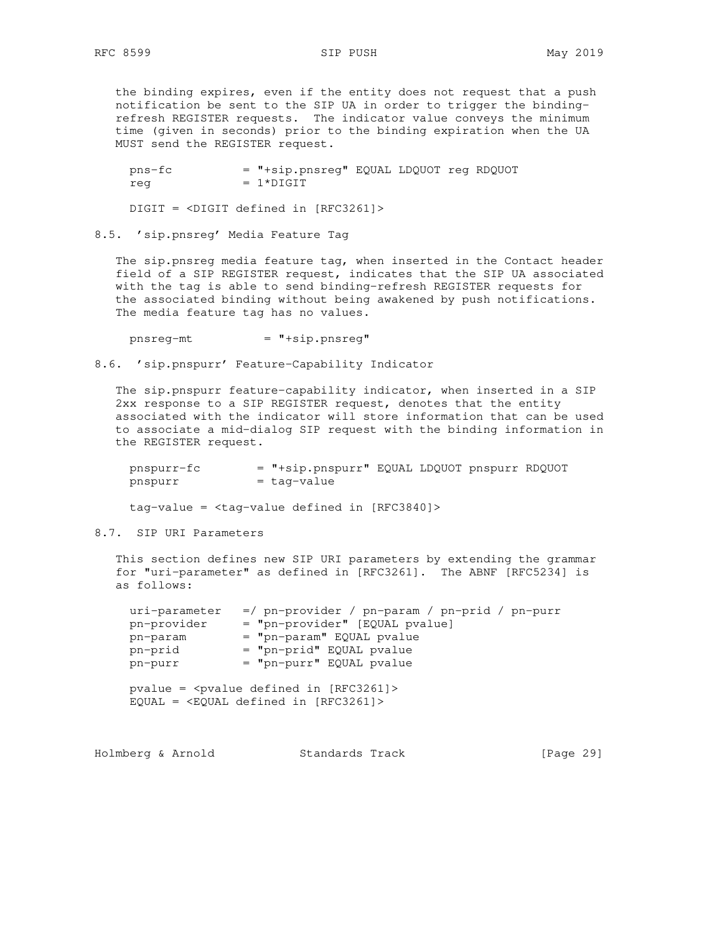the binding expires, even if the entity does not request that a push notification be sent to the SIP UA in order to trigger the binding refresh REGISTER requests. The indicator value conveys the minimum time (given in seconds) prior to the binding expiration when the UA MUST send the REGISTER request.

 pns-fc = "+sip.pnsreg" EQUAL LDQUOT reg RDQUOT  $req = 1 * DIGIT$ 

DIGIT = <DIGIT defined in [RFC3261]>

8.5. 'sip.pnsreg' Media Feature Tag

 The sip.pnsreg media feature tag, when inserted in the Contact header field of a SIP REGISTER request, indicates that the SIP UA associated with the tag is able to send binding-refresh REGISTER requests for the associated binding without being awakened by push notifications. The media feature tag has no values.

 $pnsreq-mt$  =  $"+sip.pngreg"$ 

8.6. 'sip.pnspurr' Feature-Capability Indicator

 The sip.pnspurr feature-capability indicator, when inserted in a SIP 2xx response to a SIP REGISTER request, denotes that the entity associated with the indicator will store information that can be used to associate a mid-dialog SIP request with the binding information in the REGISTER request.

 pnspurr-fc = "+sip.pnspurr" EQUAL LDQUOT pnspurr RDQUOT pnspurr = tag-value

 $tag-value =  $\langle tag-value \rangle$  defined in [RFC3840]$ 

## 8.7. SIP URI Parameters

 This section defines new SIP URI parameters by extending the grammar for "uri-parameter" as defined in [RFC3261]. The ABNF [RFC5234] is as follows:

| $=$ "pn-provider" [EQUAL pvalue] |
|----------------------------------|
|                                  |
| = "pn-param" EQUAL pvalue        |
| = "pn-prid" EQUAL pvalue         |
| $=$ "pn-purr" EQUAL pvalue       |
|                                  |

 $EQUAL = \langle EQUAL \text{ defined in } [RFC3261] \rangle$ 

| Holmberg & Arnold | Standards Track |  | [Page 29] |  |
|-------------------|-----------------|--|-----------|--|
|-------------------|-----------------|--|-----------|--|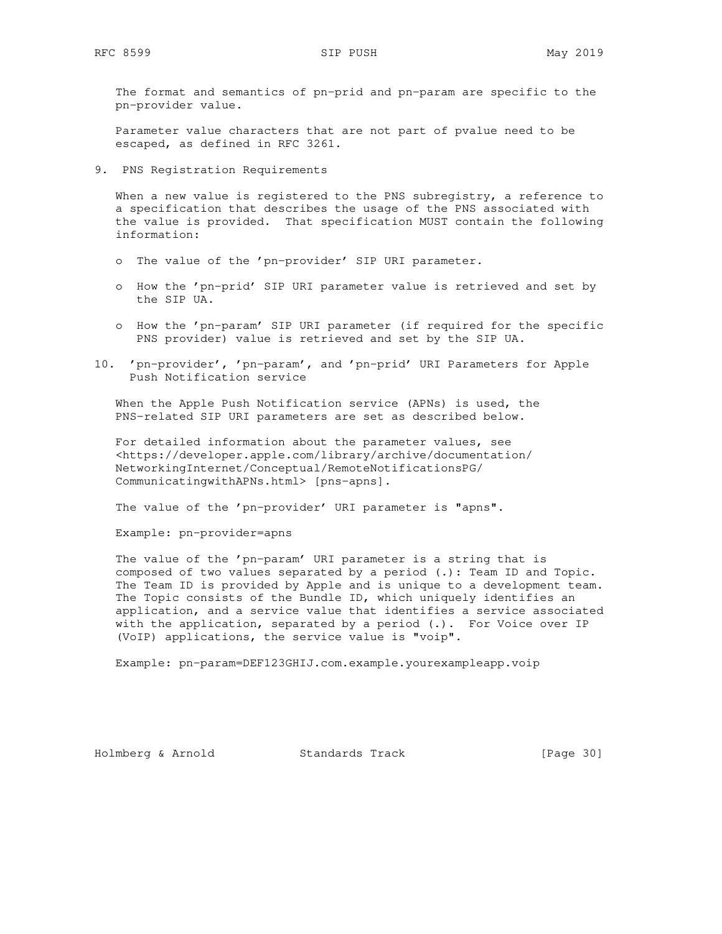The format and semantics of pn-prid and pn-param are specific to the pn-provider value.

 Parameter value characters that are not part of pvalue need to be escaped, as defined in RFC 3261.

9. PNS Registration Requirements

When a new value is registered to the PNS subregistry, a reference to a specification that describes the usage of the PNS associated with the value is provided. That specification MUST contain the following information:

- o The value of the 'pn-provider' SIP URI parameter.
- o How the 'pn-prid' SIP URI parameter value is retrieved and set by the SIP UA.
- o How the 'pn-param' SIP URI parameter (if required for the specific PNS provider) value is retrieved and set by the SIP UA.
- 10. 'pn-provider', 'pn-param', and 'pn-prid' URI Parameters for Apple Push Notification service

 When the Apple Push Notification service (APNs) is used, the PNS-related SIP URI parameters are set as described below.

 For detailed information about the parameter values, see <https://developer.apple.com/library/archive/documentation/ NetworkingInternet/Conceptual/RemoteNotificationsPG/ CommunicatingwithAPNs.html> [pns-apns].

The value of the 'pn-provider' URI parameter is "apns".

Example: pn-provider=apns

 The value of the 'pn-param' URI parameter is a string that is composed of two values separated by a period (.): Team ID and Topic. The Team ID is provided by Apple and is unique to a development team. The Topic consists of the Bundle ID, which uniquely identifies an application, and a service value that identifies a service associated with the application, separated by a period (.). For Voice over IP (VoIP) applications, the service value is "voip".

Example: pn-param=DEF123GHIJ.com.example.yourexampleapp.voip

Holmberg & Arnold Standards Track [Page 30]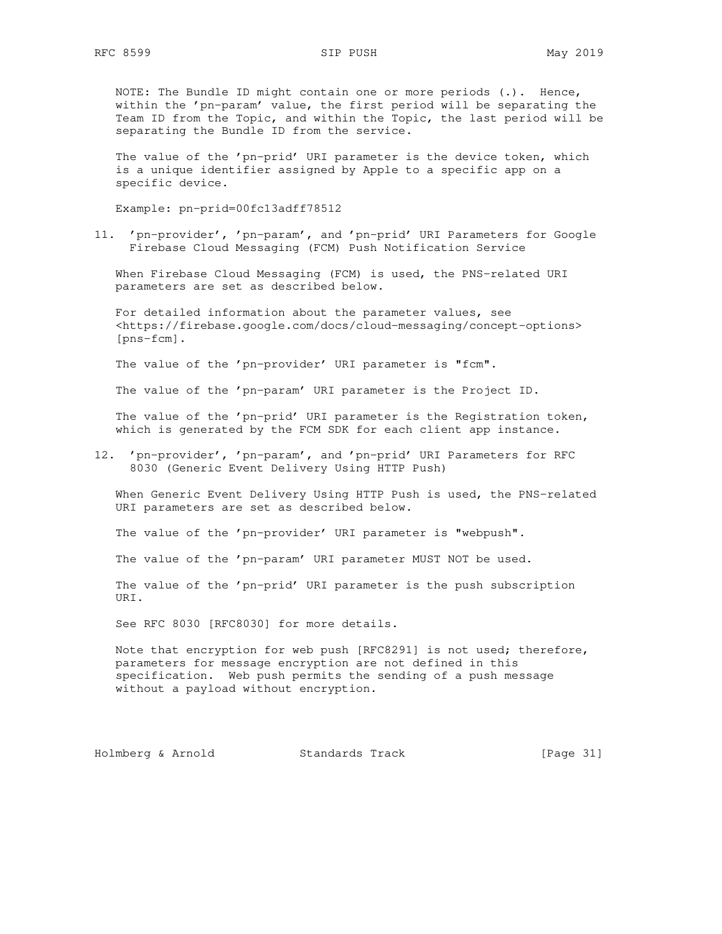NOTE: The Bundle ID might contain one or more periods (.). Hence, within the 'pn-param' value, the first period will be separating the Team ID from the Topic, and within the Topic, the last period will be separating the Bundle ID from the service.

 The value of the 'pn-prid' URI parameter is the device token, which is a unique identifier assigned by Apple to a specific app on a specific device.

Example: pn-prid=00fc13adff78512

11. 'pn-provider', 'pn-param', and 'pn-prid' URI Parameters for Google Firebase Cloud Messaging (FCM) Push Notification Service

 When Firebase Cloud Messaging (FCM) is used, the PNS-related URI parameters are set as described below.

 For detailed information about the parameter values, see <https://firebase.google.com/docs/cloud-messaging/concept-options> [pns-fcm].

The value of the 'pn-provider' URI parameter is "fcm".

The value of the 'pn-param' URI parameter is the Project ID.

 The value of the 'pn-prid' URI parameter is the Registration token, which is generated by the FCM SDK for each client app instance.

12. 'pn-provider', 'pn-param', and 'pn-prid' URI Parameters for RFC 8030 (Generic Event Delivery Using HTTP Push)

 When Generic Event Delivery Using HTTP Push is used, the PNS-related URI parameters are set as described below.

The value of the 'pn-provider' URI parameter is "webpush".

The value of the 'pn-param' URI parameter MUST NOT be used.

 The value of the 'pn-prid' URI parameter is the push subscription URI.

See RFC 8030 [RFC8030] for more details.

 Note that encryption for web push [RFC8291] is not used; therefore, parameters for message encryption are not defined in this specification. Web push permits the sending of a push message without a payload without encryption.

Holmberg & Arnold Standards Track [Page 31]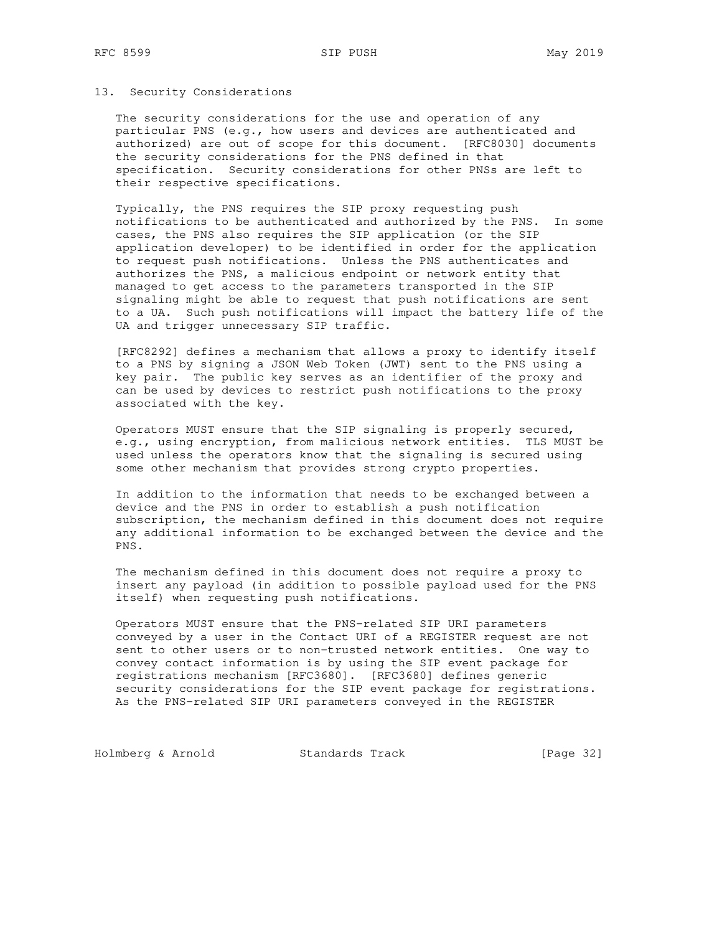### 13. Security Considerations

 The security considerations for the use and operation of any particular PNS (e.g., how users and devices are authenticated and authorized) are out of scope for this document. [RFC8030] documents the security considerations for the PNS defined in that specification. Security considerations for other PNSs are left to their respective specifications.

 Typically, the PNS requires the SIP proxy requesting push notifications to be authenticated and authorized by the PNS. In some cases, the PNS also requires the SIP application (or the SIP application developer) to be identified in order for the application to request push notifications. Unless the PNS authenticates and authorizes the PNS, a malicious endpoint or network entity that managed to get access to the parameters transported in the SIP signaling might be able to request that push notifications are sent to a UA. Such push notifications will impact the battery life of the UA and trigger unnecessary SIP traffic.

 [RFC8292] defines a mechanism that allows a proxy to identify itself to a PNS by signing a JSON Web Token (JWT) sent to the PNS using a key pair. The public key serves as an identifier of the proxy and can be used by devices to restrict push notifications to the proxy associated with the key.

 Operators MUST ensure that the SIP signaling is properly secured, e.g., using encryption, from malicious network entities. TLS MUST be used unless the operators know that the signaling is secured using some other mechanism that provides strong crypto properties.

 In addition to the information that needs to be exchanged between a device and the PNS in order to establish a push notification subscription, the mechanism defined in this document does not require any additional information to be exchanged between the device and the PNS.

 The mechanism defined in this document does not require a proxy to insert any payload (in addition to possible payload used for the PNS itself) when requesting push notifications.

 Operators MUST ensure that the PNS-related SIP URI parameters conveyed by a user in the Contact URI of a REGISTER request are not sent to other users or to non-trusted network entities. One way to convey contact information is by using the SIP event package for registrations mechanism [RFC3680]. [RFC3680] defines generic security considerations for the SIP event package for registrations. As the PNS-related SIP URI parameters conveyed in the REGISTER

Holmberg & Arnold Standards Track [Page 32]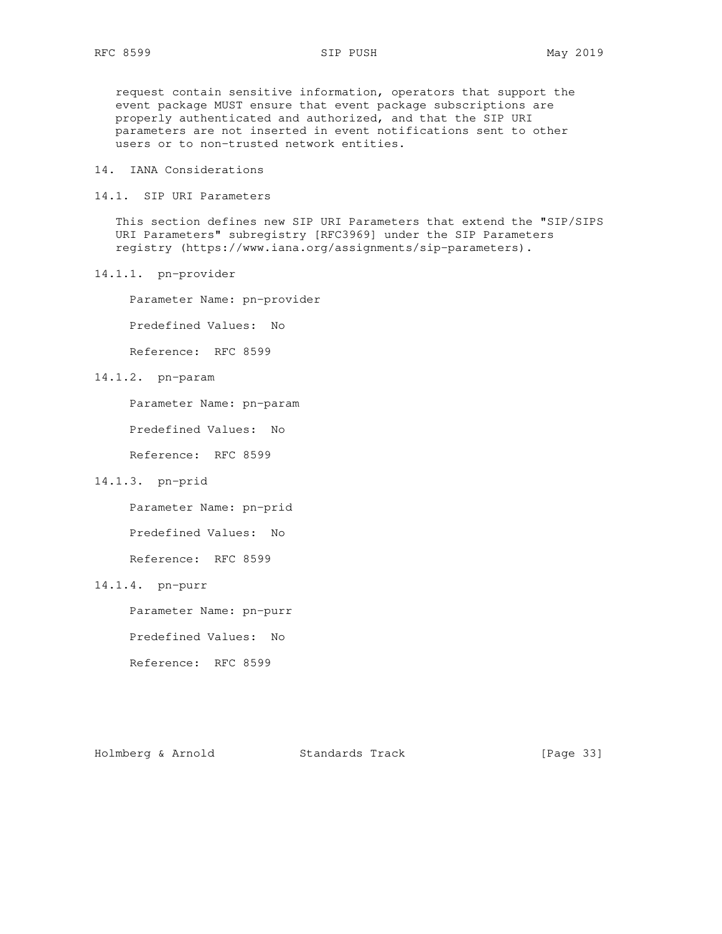request contain sensitive information, operators that support the event package MUST ensure that event package subscriptions are properly authenticated and authorized, and that the SIP URI parameters are not inserted in event notifications sent to other users or to non-trusted network entities.

- 14. IANA Considerations
- 14.1. SIP URI Parameters

 This section defines new SIP URI Parameters that extend the "SIP/SIPS URI Parameters" subregistry [RFC3969] under the SIP Parameters registry (https://www.iana.org/assignments/sip-parameters).

14.1.1. pn-provider

Parameter Name: pn-provider

Predefined Values: No

Reference: RFC 8599

14.1.2. pn-param

Parameter Name: pn-param

Predefined Values: No

Reference: RFC 8599

# 14.1.3. pn-prid

Parameter Name: pn-prid

Predefined Values: No

Reference: RFC 8599

# 14.1.4. pn-purr

Parameter Name: pn-purr

Predefined Values: No

Reference: RFC 8599

Holmberg & Arnold Standards Track [Page 33]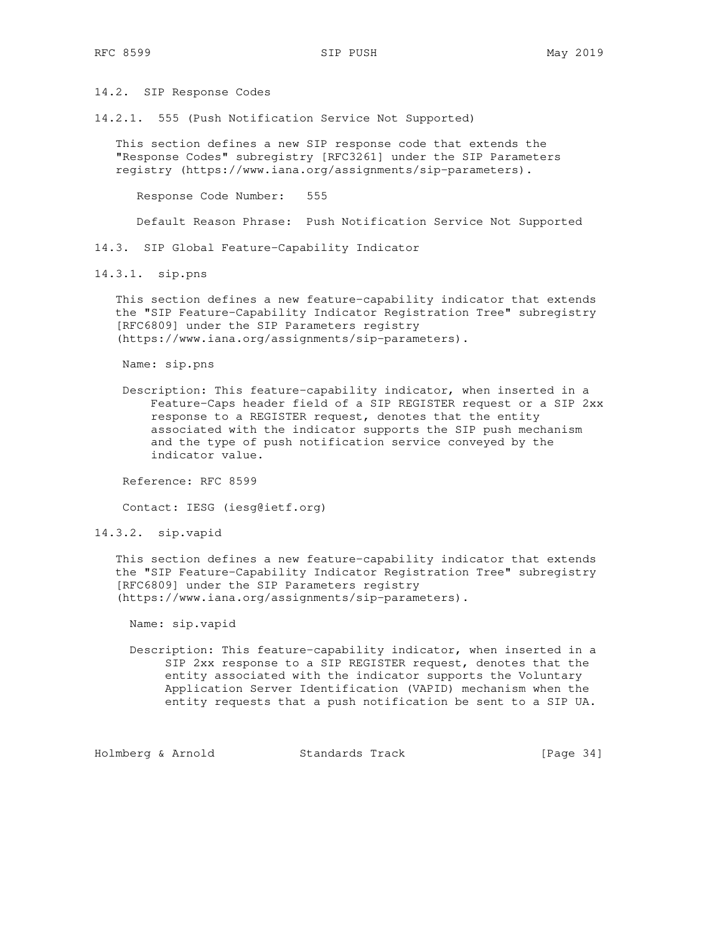14.2. SIP Response Codes

14.2.1. 555 (Push Notification Service Not Supported)

 This section defines a new SIP response code that extends the "Response Codes" subregistry [RFC3261] under the SIP Parameters registry (https://www.iana.org/assignments/sip-parameters).

Response Code Number: 555

Default Reason Phrase: Push Notification Service Not Supported

14.3. SIP Global Feature-Capability Indicator

14.3.1. sip.pns

 This section defines a new feature-capability indicator that extends the "SIP Feature-Capability Indicator Registration Tree" subregistry [RFC6809] under the SIP Parameters registry (https://www.iana.org/assignments/sip-parameters).

Name: sip.pns

 Description: This feature-capability indicator, when inserted in a Feature-Caps header field of a SIP REGISTER request or a SIP 2xx response to a REGISTER request, denotes that the entity associated with the indicator supports the SIP push mechanism and the type of push notification service conveyed by the indicator value.

Reference: RFC 8599

Contact: IESG (iesg@ietf.org)

14.3.2. sip.vapid

 This section defines a new feature-capability indicator that extends the "SIP Feature-Capability Indicator Registration Tree" subregistry [RFC6809] under the SIP Parameters registry (https://www.iana.org/assignments/sip-parameters).

Name: sip.vapid

 Description: This feature-capability indicator, when inserted in a SIP 2xx response to a SIP REGISTER request, denotes that the entity associated with the indicator supports the Voluntary Application Server Identification (VAPID) mechanism when the entity requests that a push notification be sent to a SIP UA.

Holmberg & Arnold Standards Track [Page 34]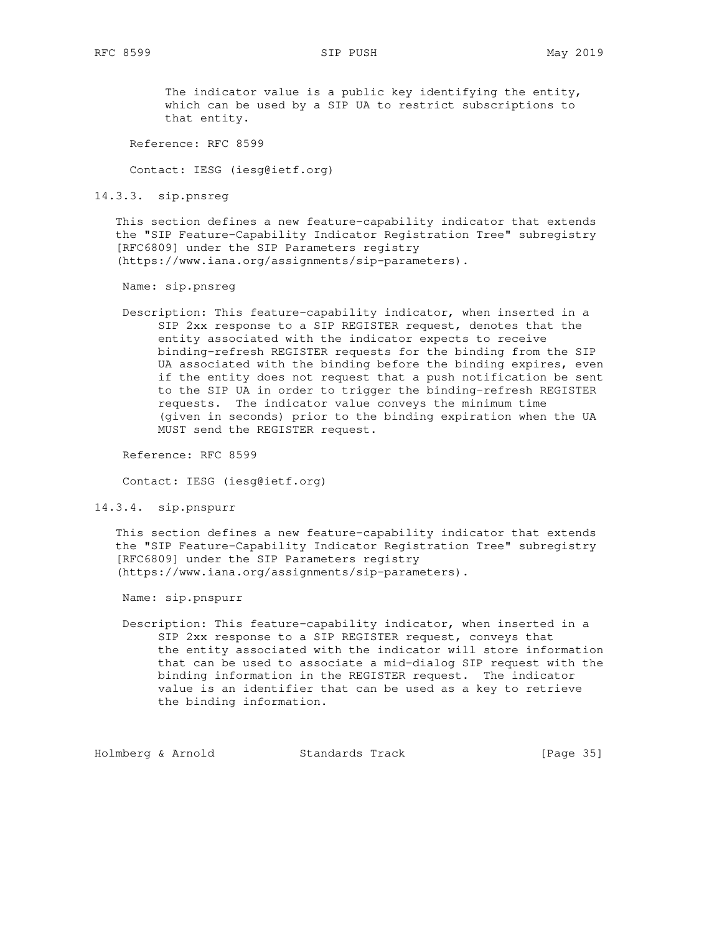The indicator value is a public key identifying the entity, which can be used by a SIP UA to restrict subscriptions to that entity.

Reference: RFC 8599

Contact: IESG (iesg@ietf.org)

14.3.3. sip.pnsreg

 This section defines a new feature-capability indicator that extends the "SIP Feature-Capability Indicator Registration Tree" subregistry [RFC6809] under the SIP Parameters registry (https://www.iana.org/assignments/sip-parameters).

Name: sip.pnsreg

 Description: This feature-capability indicator, when inserted in a SIP 2xx response to a SIP REGISTER request, denotes that the entity associated with the indicator expects to receive binding-refresh REGISTER requests for the binding from the SIP UA associated with the binding before the binding expires, even if the entity does not request that a push notification be sent to the SIP UA in order to trigger the binding-refresh REGISTER requests. The indicator value conveys the minimum time (given in seconds) prior to the binding expiration when the UA MUST send the REGISTER request.

Reference: RFC 8599

Contact: IESG (iesg@ietf.org)

14.3.4. sip.pnspurr

 This section defines a new feature-capability indicator that extends the "SIP Feature-Capability Indicator Registration Tree" subregistry [RFC6809] under the SIP Parameters registry (https://www.iana.org/assignments/sip-parameters).

Name: sip.pnspurr

 Description: This feature-capability indicator, when inserted in a SIP 2xx response to a SIP REGISTER request, conveys that the entity associated with the indicator will store information that can be used to associate a mid-dialog SIP request with the binding information in the REGISTER request. The indicator value is an identifier that can be used as a key to retrieve the binding information.

Holmberg & Arnold Standards Track [Page 35]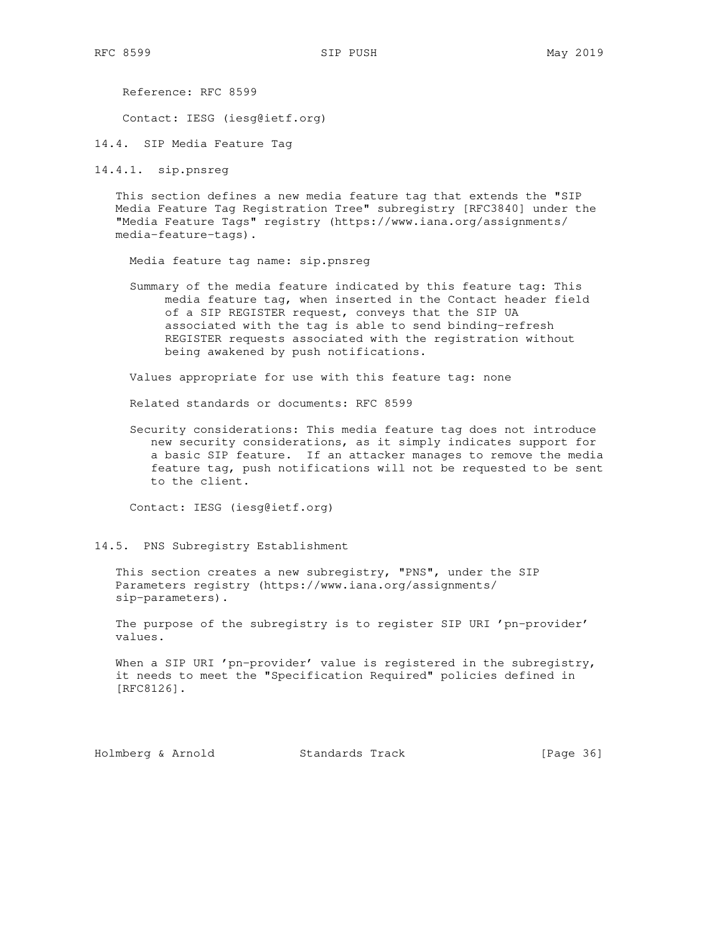Reference: RFC 8599

Contact: IESG (iesg@ietf.org)

14.4. SIP Media Feature Tag

14.4.1. sip.pnsreg

 This section defines a new media feature tag that extends the "SIP Media Feature Tag Registration Tree" subregistry [RFC3840] under the "Media Feature Tags" registry (https://www.iana.org/assignments/ media-feature-tags).

Media feature tag name: sip.pnsreg

 Summary of the media feature indicated by this feature tag: This media feature tag, when inserted in the Contact header field of a SIP REGISTER request, conveys that the SIP UA associated with the tag is able to send binding-refresh REGISTER requests associated with the registration without being awakened by push notifications.

Values appropriate for use with this feature tag: none

Related standards or documents: RFC 8599

 Security considerations: This media feature tag does not introduce new security considerations, as it simply indicates support for a basic SIP feature. If an attacker manages to remove the media feature tag, push notifications will not be requested to be sent to the client.

Contact: IESG (iesg@ietf.org)

14.5. PNS Subregistry Establishment

 This section creates a new subregistry, "PNS", under the SIP Parameters registry (https://www.iana.org/assignments/ sip-parameters).

 The purpose of the subregistry is to register SIP URI 'pn-provider' values.

When a SIP URI 'pn-provider' value is registered in the subregistry, it needs to meet the "Specification Required" policies defined in [RFC8126].

Holmberg & Arnold Standards Track [Page 36]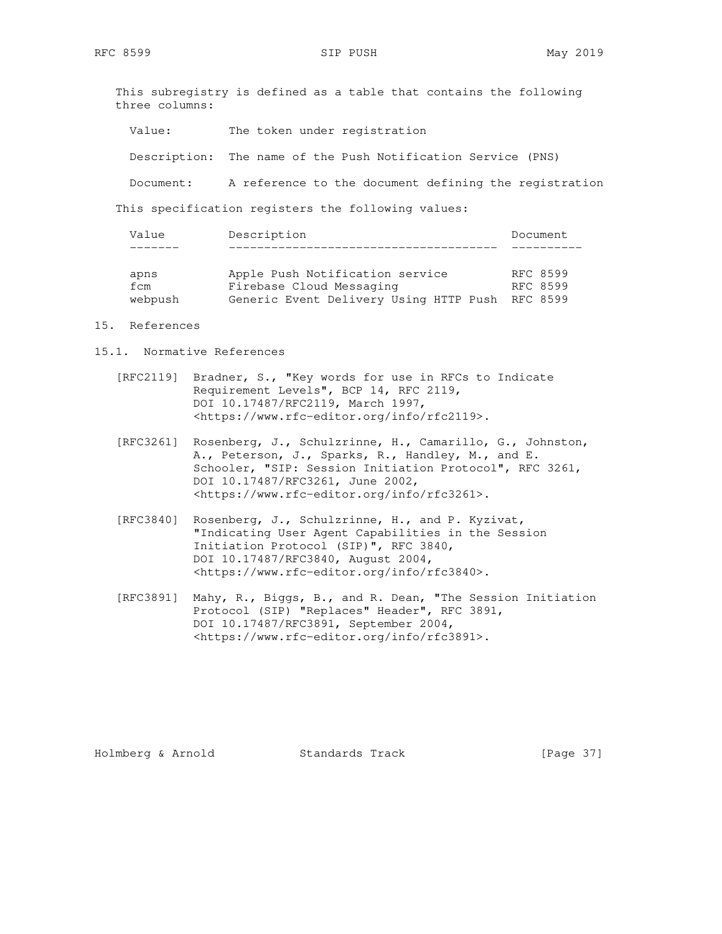This subregistry is defined as a table that contains the following three columns:

Value: The token under registration

Description: The name of the Push Notification Service (PNS)

Document: A reference to the document defining the registration

This specification registers the following values:

| Value                  | Description                                                                                                    | Document             |
|------------------------|----------------------------------------------------------------------------------------------------------------|----------------------|
|                        |                                                                                                                |                      |
| apns<br>fcm<br>webpush | Apple Push Notification service<br>Firebase Cloud Messaging<br>Generic Event Delivery Using HTTP Push RFC 8599 | RFC 8599<br>RFC 8599 |

### 15. References

- 15.1. Normative References
	- [RFC2119] Bradner, S., "Key words for use in RFCs to Indicate Requirement Levels", BCP 14, RFC 2119, DOI 10.17487/RFC2119, March 1997, <https://www.rfc-editor.org/info/rfc2119>.
	- [RFC3261] Rosenberg, J., Schulzrinne, H., Camarillo, G., Johnston, A., Peterson, J., Sparks, R., Handley, M., and E. Schooler, "SIP: Session Initiation Protocol", RFC 3261, DOI 10.17487/RFC3261, June 2002, <https://www.rfc-editor.org/info/rfc3261>.
	- [RFC3840] Rosenberg, J., Schulzrinne, H., and P. Kyzivat, "Indicating User Agent Capabilities in the Session Initiation Protocol (SIP)", RFC 3840, DOI 10.17487/RFC3840, August 2004, <https://www.rfc-editor.org/info/rfc3840>.
- [RFC3891] Mahy, R., Biggs, B., and R. Dean, "The Session Initiation Protocol (SIP) "Replaces" Header", RFC 3891, DOI 10.17487/RFC3891, September 2004, <https://www.rfc-editor.org/info/rfc3891>.

Holmberg & Arnold Standards Track [Page 37]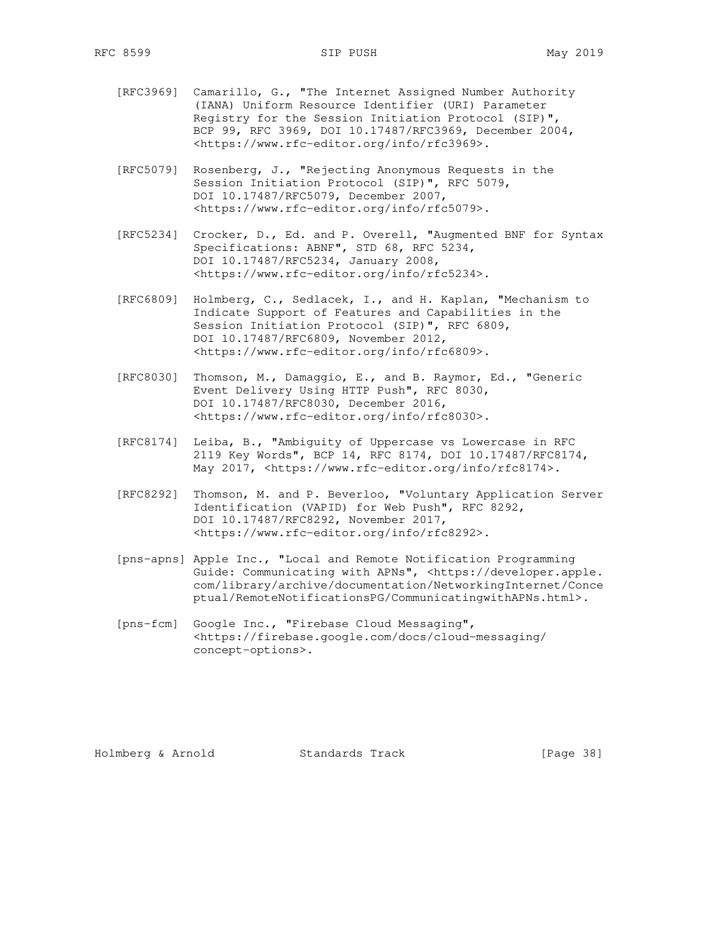- [RFC3969] Camarillo, G., "The Internet Assigned Number Authority (IANA) Uniform Resource Identifier (URI) Parameter Registry for the Session Initiation Protocol (SIP)", BCP 99, RFC 3969, DOI 10.17487/RFC3969, December 2004, <https://www.rfc-editor.org/info/rfc3969>.
- [RFC5079] Rosenberg, J., "Rejecting Anonymous Requests in the Session Initiation Protocol (SIP)", RFC 5079, DOI 10.17487/RFC5079, December 2007, <https://www.rfc-editor.org/info/rfc5079>.
- [RFC5234] Crocker, D., Ed. and P. Overell, "Augmented BNF for Syntax Specifications: ABNF", STD 68, RFC 5234, DOI 10.17487/RFC5234, January 2008, <https://www.rfc-editor.org/info/rfc5234>.
	- [RFC6809] Holmberg, C., Sedlacek, I., and H. Kaplan, "Mechanism to Indicate Support of Features and Capabilities in the Session Initiation Protocol (SIP)", RFC 6809, DOI 10.17487/RFC6809, November 2012, <https://www.rfc-editor.org/info/rfc6809>.
	- [RFC8030] Thomson, M., Damaggio, E., and B. Raymor, Ed., "Generic Event Delivery Using HTTP Push", RFC 8030, DOI 10.17487/RFC8030, December 2016, <https://www.rfc-editor.org/info/rfc8030>.
	- [RFC8174] Leiba, B., "Ambiguity of Uppercase vs Lowercase in RFC 2119 Key Words", BCP 14, RFC 8174, DOI 10.17487/RFC8174, May 2017, <https://www.rfc-editor.org/info/rfc8174>.
	- [RFC8292] Thomson, M. and P. Beverloo, "Voluntary Application Server Identification (VAPID) for Web Push", RFC 8292, DOI 10.17487/RFC8292, November 2017, <https://www.rfc-editor.org/info/rfc8292>.
	- [pns-apns] Apple Inc., "Local and Remote Notification Programming Guide: Communicating with APNs", <https://developer.apple. com/library/archive/documentation/NetworkingInternet/Conce ptual/RemoteNotificationsPG/CommunicatingwithAPNs.html>.
	- [pns-fcm] Google Inc., "Firebase Cloud Messaging", <https://firebase.google.com/docs/cloud-messaging/ concept-options>.

Holmberg & Arnold Standards Track [Page 38]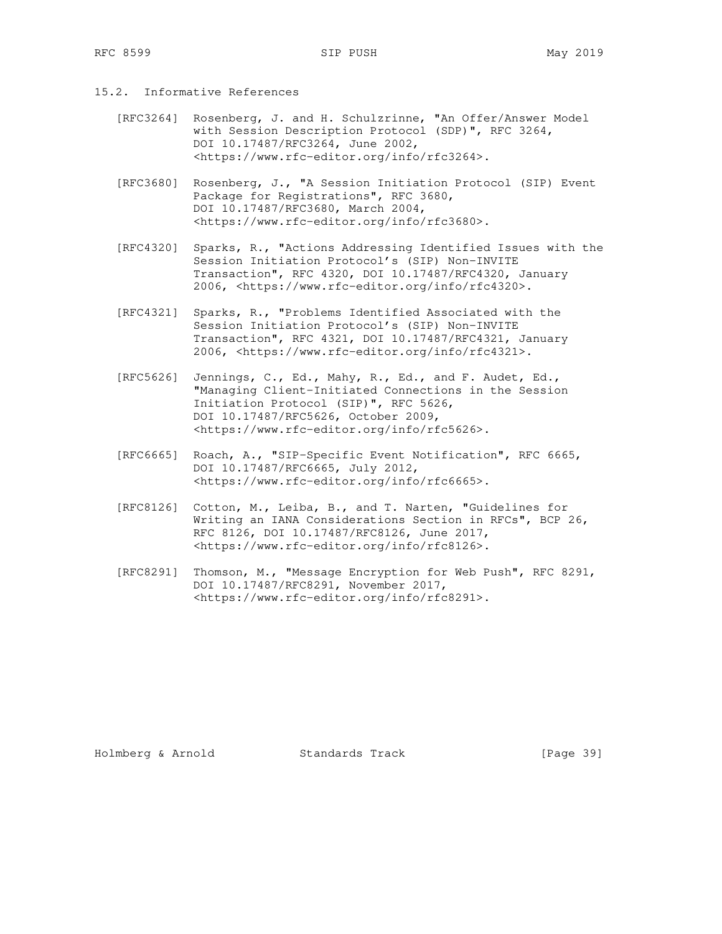- 15.2. Informative References
	- [RFC3264] Rosenberg, J. and H. Schulzrinne, "An Offer/Answer Model with Session Description Protocol (SDP)", RFC 3264, DOI 10.17487/RFC3264, June 2002, <https://www.rfc-editor.org/info/rfc3264>.
	- [RFC3680] Rosenberg, J., "A Session Initiation Protocol (SIP) Event Package for Registrations", RFC 3680, DOI 10.17487/RFC3680, March 2004, <https://www.rfc-editor.org/info/rfc3680>.
	- [RFC4320] Sparks, R., "Actions Addressing Identified Issues with the Session Initiation Protocol's (SIP) Non-INVITE Transaction", RFC 4320, DOI 10.17487/RFC4320, January 2006, <https://www.rfc-editor.org/info/rfc4320>.
	- [RFC4321] Sparks, R., "Problems Identified Associated with the Session Initiation Protocol's (SIP) Non-INVITE Transaction", RFC 4321, DOI 10.17487/RFC4321, January 2006, <https://www.rfc-editor.org/info/rfc4321>.
	- [RFC5626] Jennings, C., Ed., Mahy, R., Ed., and F. Audet, Ed., "Managing Client-Initiated Connections in the Session Initiation Protocol (SIP)", RFC 5626, DOI 10.17487/RFC5626, October 2009, <https://www.rfc-editor.org/info/rfc5626>.
	- [RFC6665] Roach, A., "SIP-Specific Event Notification", RFC 6665, DOI 10.17487/RFC6665, July 2012, <https://www.rfc-editor.org/info/rfc6665>.
	- [RFC8126] Cotton, M., Leiba, B., and T. Narten, "Guidelines for Writing an IANA Considerations Section in RFCs", BCP 26, RFC 8126, DOI 10.17487/RFC8126, June 2017, <https://www.rfc-editor.org/info/rfc8126>.
	- [RFC8291] Thomson, M., "Message Encryption for Web Push", RFC 8291, DOI 10.17487/RFC8291, November 2017, <https://www.rfc-editor.org/info/rfc8291>.